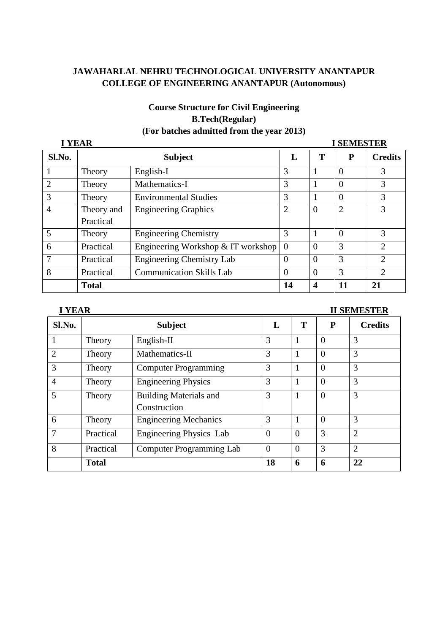# **Course Structure for Civil Engineering B.Tech(Regular) (For batches admitted from the year 2013)**

| <b>I YEAR</b><br><b>I SEMESTER</b> |                |                                    |                |                |                |                             |
|------------------------------------|----------------|------------------------------------|----------------|----------------|----------------|-----------------------------|
| Sl.No.                             | <b>Subject</b> |                                    |                | T              | P              | <b>Credits</b>              |
|                                    | Theory         | English-I                          | 3              |                | $\Omega$       | 3                           |
| $\overline{2}$                     | Theory         | Mathematics-I                      | 3              |                | $\Omega$       | 3                           |
| 3                                  | Theory         | <b>Environmental Studies</b>       | 3              |                | $\Omega$       | 3                           |
| $\overline{4}$                     | Theory and     | <b>Engineering Graphics</b>        | $\overline{2}$ | $\overline{0}$ | $\overline{2}$ | 3                           |
|                                    | Practical      |                                    |                |                |                |                             |
| 5                                  | Theory         | <b>Engineering Chemistry</b>       | 3              |                | $\Omega$       | 3                           |
| 6                                  | Practical      | Engineering Workshop & IT workshop | $\overline{0}$ | $\Omega$       | 3              | $\mathfrak{D}$              |
| 7                                  | Practical      | <b>Engineering Chemistry Lab</b>   | $\overline{0}$ | $\Omega$       | 3              | $\mathcal{D}_{\mathcal{L}}$ |
| 8                                  | Practical      | <b>Communication Skills Lab</b>    | $\overline{0}$ | $\Omega$       | 3              | $\overline{2}$              |
|                                    | <b>Total</b>   |                                    | 14             | 4              | 11             | 21                          |

## **I YEAR II SEMESTER**

| Sl.No.         |              | <b>Subject</b>                  | L        | T        | P              | <b>Credits</b> |
|----------------|--------------|---------------------------------|----------|----------|----------------|----------------|
|                | Theory       | English-II                      | 3        |          | $\Omega$       | 3              |
| $\overline{2}$ | Theory       | Mathematics-II                  | 3        |          | $\overline{0}$ | 3              |
| 3              | Theory       | <b>Computer Programming</b>     | 3        |          | $\overline{0}$ | 3              |
| $\overline{4}$ | Theory       | <b>Engineering Physics</b>      | 3        |          | $\theta$       | 3              |
| 5              | Theory       | <b>Building Materials and</b>   | 3        |          | $\overline{0}$ | 3              |
|                |              | Construction                    |          |          |                |                |
| 6              | Theory       | <b>Engineering Mechanics</b>    | 3        |          | $\Omega$       | 3              |
| 7              | Practical    | Engineering Physics Lab         | $\theta$ | $\Omega$ | 3              | $\overline{2}$ |
| 8              | Practical    | <b>Computer Programming Lab</b> | $\Omega$ | $\Omega$ | 3              | $\overline{2}$ |
|                | <b>Total</b> |                                 | 18       | 6        | 6              | 22             |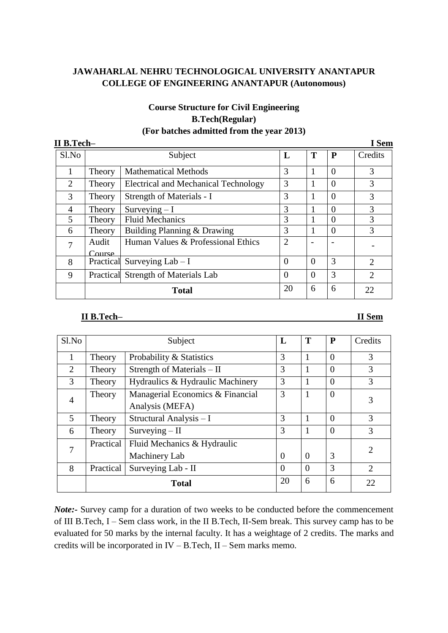## **Course Structure for Civil Engineering B.Tech(Regular) (For batches admitted from the year 2013)**

| II B.Tech-     |                  |                                      |                       |          |          | I Sem          |
|----------------|------------------|--------------------------------------|-----------------------|----------|----------|----------------|
| Sl.No          |                  | Subject                              | L                     | T        | P        | Credits        |
| 1              | Theory           | <b>Mathematical Methods</b>          | 3                     |          | $\Omega$ | 3              |
| $\overline{2}$ | Theory           | Electrical and Mechanical Technology | 3                     |          | $\Omega$ | 3              |
| 3              | Theory           | Strength of Materials - I            | 3                     |          | $\Omega$ | 3              |
| 4              | Theory           | Surveying $-I$                       | 3                     |          | 0        | 3              |
| 5              | Theory           | <b>Fluid Mechanics</b>               | 3                     |          | $\Omega$ | 3              |
| 6              | Theory           | Building Planning & Drawing          | 3                     |          | $\Omega$ | 3              |
| 7              | Audit<br>Course. | Human Values & Professional Ethics   | $\mathcal{D}_{\cdot}$ |          |          |                |
| 8              |                  | Practical Surveying $Lab - I$        | 0                     | $\Omega$ | 3        | $\overline{2}$ |
| 9              |                  | Practical Strength of Materials Lab  | $\Omega$              | $\Omega$ | 3        | $\overline{2}$ |
|                |                  | <b>Total</b>                         | 20                    | 6        | 6        | 22             |

#### **II B.Tech– II Sem**

| $S1$ . No      | Subject   |                                  | L        | T        | P              | Credits                     |
|----------------|-----------|----------------------------------|----------|----------|----------------|-----------------------------|
| 1              | Theory    | Probability & Statistics         | 3        | 1        | $\theta$       | 3                           |
| 2              | Theory    | Strength of Materials – II       | 3        |          | $\Omega$       | 3                           |
| 3              | Theory    | Hydraulics & Hydraulic Machinery | 3        |          | $\theta$       | 3                           |
| $\overline{4}$ | Theory    | Managerial Economics & Financial | 3        | 1        | $\overline{0}$ | 3                           |
|                |           | Analysis (MEFA)                  |          |          |                |                             |
| 5              | Theory    | Structural Analysis - I          | 3        | 1        | $\Omega$       | 3                           |
| 6              | Theory    | $Surveying - II$                 | 3        |          | $\theta$       | 3                           |
| 7              | Practical | Fluid Mechanics & Hydraulic      |          |          |                | 2                           |
|                |           | Machinery Lab                    | $\theta$ | $\theta$ | 3              |                             |
| 8              | Practical | Surveying Lab - II               | $\theta$ | $\Omega$ | 3              | $\mathcal{D}_{\mathcal{L}}$ |
|                |           | <b>Total</b>                     | 20       | 6        | 6              | 22                          |

*Note*:- Survey camp for a duration of two weeks to be conducted before the commencement of III B.Tech, I – Sem class work, in the II B.Tech, II-Sem break. This survey camp has to be evaluated for 50 marks by the internal faculty. It has a weightage of 2 credits. The marks and credits will be incorporated in IV – B.Tech, II – Sem marks memo.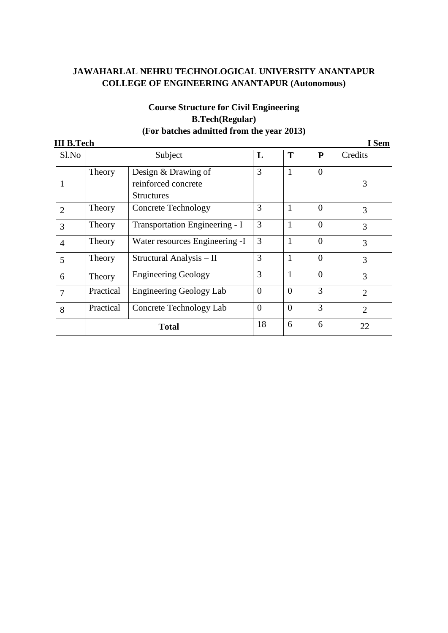| <b>III B.Tech</b> |           |                                |                |                |           | I Sem          |
|-------------------|-----------|--------------------------------|----------------|----------------|-----------|----------------|
| Sl.No             |           | Subject                        | L              | T              | ${\bf P}$ | Credits        |
|                   | Theory    | Design & Drawing of            | 3              | $\mathbf{1}$   | $\Omega$  |                |
|                   |           | reinforced concrete            |                |                |           | 3              |
|                   |           | <b>Structures</b>              |                |                |           |                |
| $\overline{2}$    | Theory    | <b>Concrete Technology</b>     | 3              | 1              | $\Omega$  | 3              |
| 3                 | Theory    | Transportation Engineering - I | 3              | 1              | $\theta$  | 3              |
| $\overline{4}$    | Theory    | Water resources Engineering -I | 3              | 1              | $\Omega$  | 3              |
| 5                 | Theory    | Structural Analysis - II       | 3              | 1              | $\Omega$  | 3              |
| 6                 | Theory    | <b>Engineering Geology</b>     | 3              | 1              | $\Omega$  | 3              |
| 7                 | Practical | <b>Engineering Geology Lab</b> | $\overline{0}$ | $\overline{0}$ | 3         | $\overline{2}$ |
| 8                 | Practical | Concrete Technology Lab        | $\overline{0}$ | $\overline{0}$ | 3         | $\overline{2}$ |
|                   |           | <b>Total</b>                   | 18             | 6              | 6         | 22             |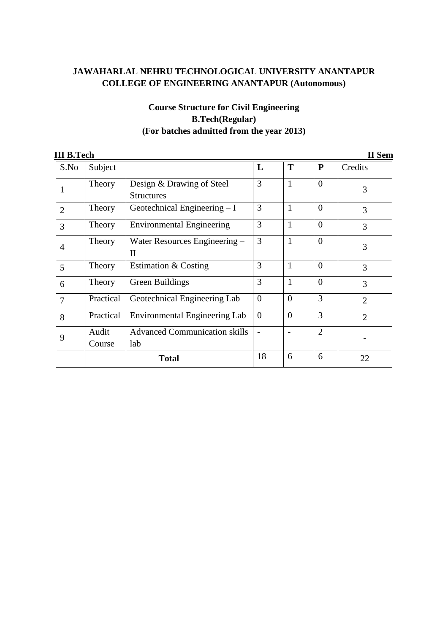| <b>II B.Tech</b> |                 |                                                |                |                |                | <b>II</b> Sem  |
|------------------|-----------------|------------------------------------------------|----------------|----------------|----------------|----------------|
| S.No             | Subject         |                                                | L              | T              | $\mathbf{P}$   | Credits        |
| $\mathbf{1}$     | Theory          | Design & Drawing of Steel<br><b>Structures</b> | 3              | $\mathbf{1}$   | $\theta$       | 3              |
| $\overline{2}$   | Theory          | Geotechnical Engineering $-I$                  | 3              | $\mathbf{1}$   | $\theta$       | 3              |
| 3                | Theory          | <b>Environmental Engineering</b>               | 3              | $\mathbf{1}$   | $\theta$       | 3              |
| $\overline{4}$   | Theory          | Water Resources Engineering –<br>$\mathbf{I}$  | 3              | $\mathbf{1}$   | $\theta$       | 3              |
| 5                | Theory          | Estimation & Costing                           | 3              | $\mathbf{1}$   | $\theta$       | 3              |
| 6                | Theory          | Green Buildings                                | 3              | $\mathbf{1}$   | $\theta$       | 3              |
| $\overline{7}$   | Practical       | Geotechnical Engineering Lab                   | $\overline{0}$ | $\overline{0}$ | 3              | $\overline{2}$ |
| 8                | Practical       | Environmental Engineering Lab                  | $\overline{0}$ | $\overline{0}$ | 3              | $\overline{2}$ |
| 9                | Audit<br>Course | <b>Advanced Communication skills</b><br>lab    |                |                | $\overline{2}$ |                |
|                  |                 | <b>Total</b>                                   | 18             | 6              | 6              | 22             |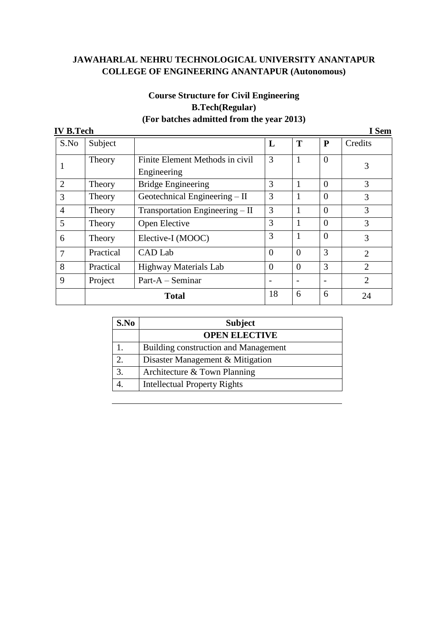| <b>IV B.Tech</b> |           |                                                |                |              |                | I Sem          |
|------------------|-----------|------------------------------------------------|----------------|--------------|----------------|----------------|
| S.No             | Subject   |                                                | L              | T            | P              | Credits        |
| 1                | Theory    | Finite Element Methods in civil<br>Engineering | 3              | $\mathbf{1}$ | $\overline{0}$ | 3              |
| $\overline{2}$   | Theory    | <b>Bridge Engineering</b>                      | 3              | 1            | $\theta$       | 3              |
| 3                | Theory    | Geotechnical Engineering – II                  | 3              | 1            | $\Omega$       | 3              |
| $\overline{4}$   | Theory    | Transportation Engineering - II                | 3              | 1            | $\theta$       | 3              |
| 5                | Theory    | Open Elective                                  | 3              | 1            | $\Omega$       | 3              |
| 6                | Theory    | Elective-I (MOOC)                              | 3              | 1            | $\overline{0}$ | 3              |
| 7                | Practical | CAD Lab                                        | $\overline{0}$ | $\theta$     | 3              | 2              |
| 8                | Practical | <b>Highway Materials Lab</b>                   | $\Omega$       | $\theta$     | 3              | $\mathfrak{2}$ |
| 9                | Project   | Part-A - Seminar                               |                |              |                | $\overline{2}$ |
|                  |           | <b>Total</b>                                   | 18             | 6            | 6              | 24             |

| S.No             | <b>Subject</b>                              |
|------------------|---------------------------------------------|
|                  | <b>OPEN ELECTIVE</b>                        |
|                  | <b>Building construction and Management</b> |
|                  | Disaster Management & Mitigation            |
| $\overline{3}$ . | Architecture & Town Planning                |
|                  | <b>Intellectual Property Rights</b>         |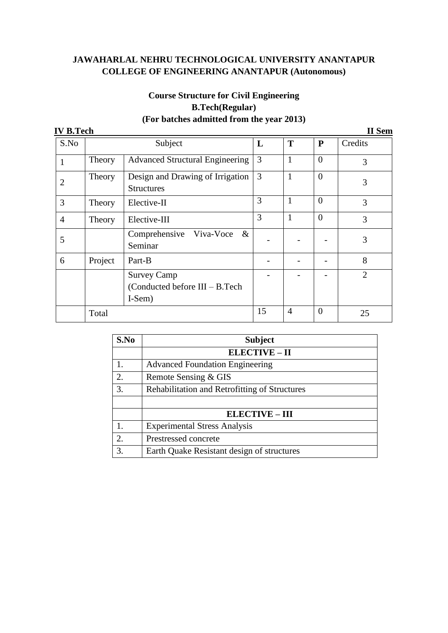| <b>IV B.Tech</b> |         |                                                                |    |              |           | <b>II</b> Sem  |
|------------------|---------|----------------------------------------------------------------|----|--------------|-----------|----------------|
| S.No             |         | Subject                                                        | L  | T            | ${\bf P}$ | Credits        |
|                  | Theory  | <b>Advanced Structural Engineering</b>                         | 3  | $\mathbf{1}$ | $\Omega$  | 3              |
| 2                | Theory  | Design and Drawing of Irrigation<br><b>Structures</b>          | 3  | 1            | $\Omega$  | 3              |
| 3                | Theory  | Elective-II                                                    | 3  | $\mathbf{1}$ | $\theta$  | 3              |
| $\overline{4}$   | Theory  | Elective-III                                                   | 3  | 1            | $\Omega$  | 3              |
| 5                |         | Comprehensive Viva-Voce<br>$\&$<br>Seminar                     |    |              |           | 3              |
| 6                | Project | Part-B                                                         |    |              |           | 8              |
|                  |         | <b>Survey Camp</b><br>(Conducted before III - B.Tech<br>I-Sem) |    |              |           | $\overline{2}$ |
|                  | Total   |                                                                | 15 | 4            | $\Omega$  | 25             |

| S.No             | <b>Subject</b>                                |  |  |  |  |
|------------------|-----------------------------------------------|--|--|--|--|
|                  | <b>ELECTIVE - II</b>                          |  |  |  |  |
| 1.               | <b>Advanced Foundation Engineering</b>        |  |  |  |  |
| $\overline{2}$ . | Remote Sensing & GIS                          |  |  |  |  |
| 3.               | Rehabilitation and Retrofitting of Structures |  |  |  |  |
|                  |                                               |  |  |  |  |
|                  | <b>ELECTIVE - III</b>                         |  |  |  |  |
| 1.               | <b>Experimental Stress Analysis</b>           |  |  |  |  |
| 2.               | Prestressed concrete                          |  |  |  |  |
| 3                | Earth Quake Resistant design of structures    |  |  |  |  |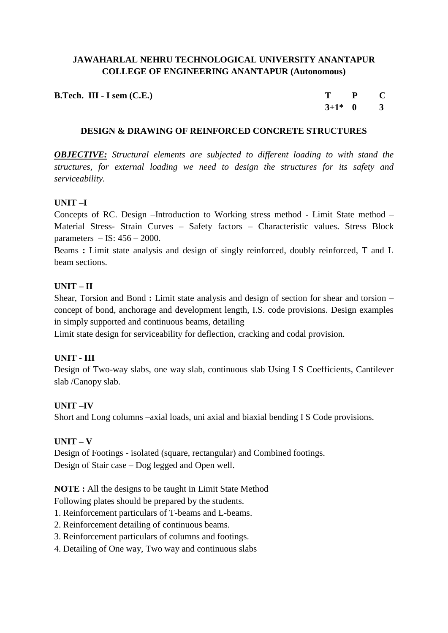| <b>B.Tech. III - I sem <math>(C.E.)</math></b> | $T$ $P$ $C$ |  |
|------------------------------------------------|-------------|--|
|                                                | $3+1^*$ 0 3 |  |

#### **DESIGN & DRAWING OF REINFORCED CONCRETE STRUCTURES**

*OBJECTIVE: Structural elements are subjected to different loading to with stand the structures, for external loading we need to design the structures for its safety and serviceability.*

#### **UNIT –I**

Concepts of RC. Design –Introduction to Working stress method - Limit State method – Material Stress- Strain Curves – Safety factors – Characteristic values. Stress Block parameters  $-$  IS:  $456 - 2000$ .

Beams **:** Limit state analysis and design of singly reinforced, doubly reinforced, T and L beam sections.

## **UNIT – II**

Shear, Torsion and Bond **:** Limit state analysis and design of section for shear and torsion – concept of bond, anchorage and development length, I.S. code provisions. Design examples in simply supported and continuous beams, detailing

Limit state design for serviceability for deflection, cracking and codal provision.

#### **UNIT - III**

Design of Two-way slabs, one way slab, continuous slab Using I S Coefficients, Cantilever slab /Canopy slab.

#### **UNIT –IV**

Short and Long columns –axial loads, uni axial and biaxial bending I S Code provisions.

#### **UNIT – V**

Design of Footings - isolated (square, rectangular) and Combined footings. Design of Stair case – Dog legged and Open well.

**NOTE :** All the designs to be taught in Limit State Method

Following plates should be prepared by the students.

- 1. Reinforcement particulars of T-beams and L-beams.
- 2. Reinforcement detailing of continuous beams.
- 3. Reinforcement particulars of columns and footings.
- 4. Detailing of One way, Two way and continuous slabs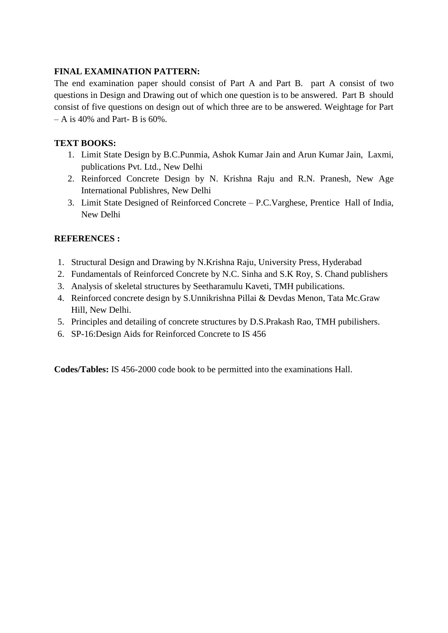#### **FINAL EXAMINATION PATTERN:**

The end examination paper should consist of Part A and Part B. part A consist of two questions in Design and Drawing out of which one question is to be answered. Part B should consist of five questions on design out of which three are to be answered. Weightage for Part  $- A$  is 40% and Part- B is 60%.

## **TEXT BOOKS:**

- 1. Limit State Design by B.C.Punmia, Ashok Kumar Jain and Arun Kumar Jain, Laxmi, publications Pvt. Ltd., New Delhi
- 2. Reinforced Concrete Design by N. Krishna Raju and R.N. Pranesh, New Age International Publishres, New Delhi
- 3. Limit State Designed of Reinforced Concrete P.C.Varghese, Prentice Hall of India, New Delhi

## **REFERENCES :**

- 1. Structural Design and Drawing by N.Krishna Raju, University Press, Hyderabad
- 2. Fundamentals of Reinforced Concrete by N.C. Sinha and S.K Roy, S. Chand publishers
- 3. Analysis of skeletal structures by Seetharamulu Kaveti, TMH pubilications.
- 4. Reinforced concrete design by S.Unnikrishna Pillai & Devdas Menon, Tata Mc.Graw Hill, New Delhi.
- 5. Principles and detailing of concrete structures by D.S.Prakash Rao, TMH pubilishers.
- 6. SP-16:Design Aids for Reinforced Concrete to IS 456

**Codes/Tables:** IS 456-2000 code book to be permitted into the examinations Hall.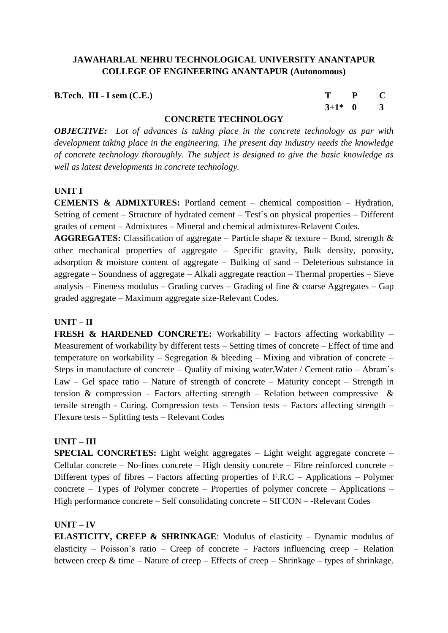**B.Tech. III - I** sem (C.E.) T P C

 **3+1\* 0 3**

## **CONCRETE TECHNOLOGY**

*OBJECTIVE: Lot of advances is taking place in the concrete technology as par with development taking place in the engineering. The present day industry needs the knowledge of concrete technology thoroughly. The subject is designed to give the basic knowledge as well as latest developments in concrete technology.*

#### **UNIT I**

**CEMENTS & ADMIXTURES:** Portland cement – chemical composition – Hydration, Setting of cement – Structure of hydrated cement – Test`s on physical properties – Different grades of cement – Admixtures – Mineral and chemical admixtures-Relavent Codes.

**AGGREGATES:** Classification of aggregate – Particle shape  $\&$  texture – Bond, strength  $\&$ other mechanical properties of aggregate – Specific gravity, Bulk density, porosity, adsorption & moisture content of aggregate – Bulking of sand – Deleterious substance in aggregate – Soundness of aggregate – Alkali aggregate reaction – Thermal properties – Sieve analysis – Fineness modulus – Grading curves – Grading of fine & coarse Aggregates – Gap graded aggregate – Maximum aggregate size-Relevant Codes.

## **UNIT – II**

**FRESH & HARDENED CONCRETE:** Workability – Factors affecting workability – Measurement of workability by different tests – Setting times of concrete – Effect of time and temperature on workability – Segregation  $\&$  bleeding – Mixing and vibration of concrete – Steps in manufacture of concrete – Quality of mixing water.Water / Cement ratio – Abram's Law – Gel space ratio – Nature of strength of concrete – Maturity concept – Strength in tension  $\&$  compression – Factors affecting strength – Relation between compressive  $\&$ tensile strength - Curing. Compression tests – Tension tests – Factors affecting strength – Flexure tests – Splitting tests – Relevant Codes

#### **UNIT – III**

**SPECIAL CONCRETES:** Light weight aggregates – Light weight aggregate concrete – Cellular concrete – No-fines concrete – High density concrete – Fibre reinforced concrete – Different types of fibres – Factors affecting properties of F.R.C – Applications – Polymer concrete – Types of Polymer concrete – Properties of polymer concrete – Applications – High performance concrete – Self consolidating concrete – SIFCON – -Relevant Codes

## **UNIT – IV**

**ELASTICITY, CREEP & SHRINKAGE**: Modulus of elasticity – Dynamic modulus of elasticity – Poisson's ratio – Creep of concrete – Factors influencing creep – Relation between creep  $\&$  time – Nature of creep – Effects of creep – Shrinkage – types of shrinkage.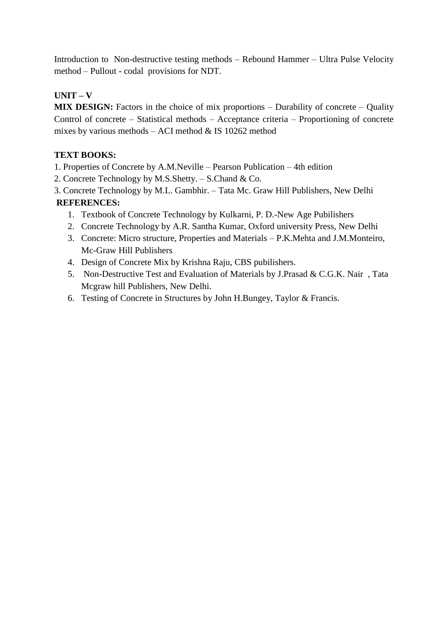Introduction to Non-destructive testing methods – Rebound Hammer – Ultra Pulse Velocity method – Pullout - codal provisions for NDT.

# **UNIT – V**

**MIX DESIGN:** Factors in the choice of mix proportions – Durability of concrete – Quality Control of concrete – Statistical methods – Acceptance criteria – Proportioning of concrete mixes by various methods  $-$  ACI method & IS 10262 method

## **TEXT BOOKS:**

- 1. Properties of Concrete by A.M.Neville Pearson Publication 4th edition
- 2. Concrete Technology by M.S.Shetty. S.Chand & Co.
- 3. Concrete Technology by M.L. Gambhir. Tata Mc. Graw Hill Publishers, New Delhi **REFERENCES:**
	- 1. Textbook of Concrete Technology by Kulkarni, P. D.-New Age Pubilishers
	- 2. Concrete Technology by A.R. Santha Kumar, Oxford university Press, New Delhi
	- 3. Concrete: Micro structure, Properties and Materials P.K.Mehta and J.M.Monteiro, Mc-Graw Hill Publishers
	- 4. Design of Concrete Mix by Krishna Raju, CBS pubilishers.
	- 5. Non-Destructive Test and Evaluation of Materials by J.Prasad & C.G.K. Nair , Tata Mcgraw hill Publishers, New Delhi.
	- 6. Testing of Concrete in Structures by John H.Bungey, Taylor & Francis.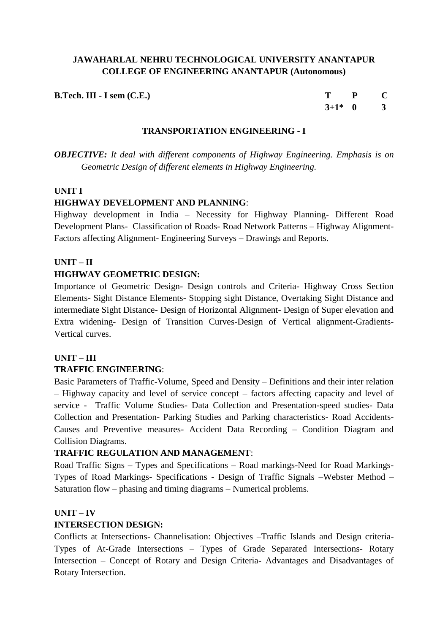| $B.Tech. III - I sem (C.E.)$ | $T$ $P$ $C$ |  |
|------------------------------|-------------|--|
|                              | $3+1^*$ 0 3 |  |

#### **TRANSPORTATION ENGINEERING - I**

*OBJECTIVE: It deal with different components of Highway Engineering. Emphasis is on Geometric Design of different elements in Highway Engineering.*

#### **UNIT I**

#### **HIGHWAY DEVELOPMENT AND PLANNING**:

Highway development in India – Necessity for Highway Planning- Different Road Development Plans- Classification of Roads- Road Network Patterns – Highway Alignment-Factors affecting Alignment- Engineering Surveys – Drawings and Reports.

#### **UNIT – II**

#### **HIGHWAY GEOMETRIC DESIGN:**

Importance of Geometric Design- Design controls and Criteria- Highway Cross Section Elements- Sight Distance Elements- Stopping sight Distance, Overtaking Sight Distance and intermediate Sight Distance- Design of Horizontal Alignment- Design of Super elevation and Extra widening- Design of Transition Curves-Design of Vertical alignment-Gradients-Vertical curves.

#### **UNIT – III**

#### **TRAFFIC ENGINEERING**:

Basic Parameters of Traffic-Volume, Speed and Density – Definitions and their inter relation – Highway capacity and level of service concept – factors affecting capacity and level of service - Traffic Volume Studies- Data Collection and Presentation-speed studies- Data Collection and Presentation- Parking Studies and Parking characteristics- Road Accidents-Causes and Preventive measures- Accident Data Recording – Condition Diagram and Collision Diagrams.

#### **TRAFFIC REGULATION AND MANAGEMENT**:

Road Traffic Signs – Types and Specifications – Road markings-Need for Road Markings-Types of Road Markings- Specifications - Design of Traffic Signals –Webster Method – Saturation flow – phasing and timing diagrams – Numerical problems.

#### **UNIT – IV**

#### **INTERSECTION DESIGN:**

Conflicts at Intersections- Channelisation: Objectives –Traffic Islands and Design criteria-Types of At-Grade Intersections – Types of Grade Separated Intersections- Rotary Intersection – Concept of Rotary and Design Criteria- Advantages and Disadvantages of Rotary Intersection.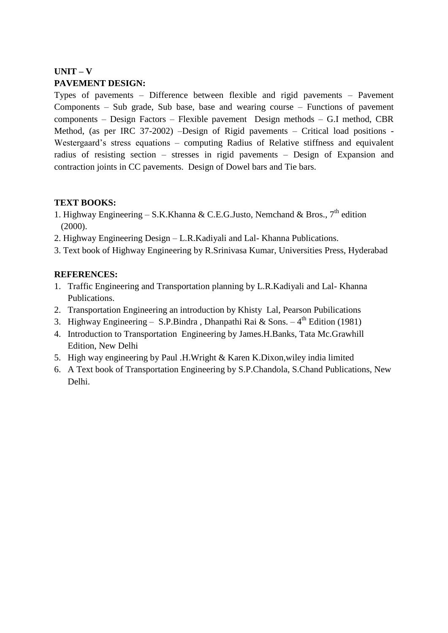# **UNIT – V PAVEMENT DESIGN:**

Types of pavements – Difference between flexible and rigid pavements – Pavement Components – Sub grade, Sub base, base and wearing course – Functions of pavement components – Design Factors – Flexible pavement Design methods – G.I method, CBR Method, (as per IRC 37-2002) –Design of Rigid pavements – Critical load positions - Westergaard's stress equations – computing Radius of Relative stiffness and equivalent radius of resisting section – stresses in rigid pavements – Design of Expansion and contraction joints in CC pavements. Design of Dowel bars and Tie bars.

## **TEXT BOOKS:**

- 1. Highway Engineering S.K.Khanna & C.E.G.Justo, Nemchand & Bros.,  $7^{th}$  edition (2000).
- 2. Highway Engineering Design L.R.Kadiyali and Lal- Khanna Publications.
- 3. Text book of Highway Engineering by R.Srinivasa Kumar, Universities Press, Hyderabad

# **REFERENCES:**

- 1. Traffic Engineering and Transportation planning by L.R.Kadiyali and Lal- Khanna Publications.
- 2. Transportation Engineering an introduction by Khisty Lal, Pearson Pubilications
- 3. Highway Engineering S.P.Bindra, Dhanpathi Rai & Sons.  $-4^{th}$  Edition (1981)
- 4. Introduction to Transportation Engineering by James.H.Banks, Tata Mc.Grawhill Edition, New Delhi
- 5. High way engineering by Paul .H.Wright & Karen K.Dixon,wiley india limited
- 6. A Text book of Transportation Engineering by S.P.Chandola, S.Chand Publications, New Delhi.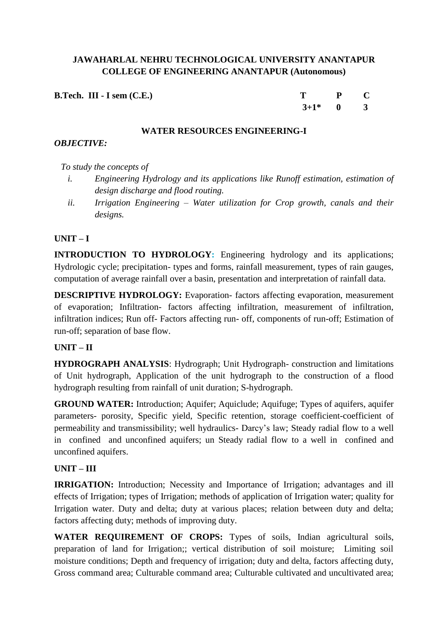| <b>B.Tech. III - I sem <math>(C.E.)</math></b> | T P C       |  |
|------------------------------------------------|-------------|--|
|                                                | $3+1^*$ 0 3 |  |

#### **WATER RESOURCES ENGINEERING-I**

#### *OBJECTIVE:*

## *To study the concepts of*

- *i. Engineering Hydrology and its applications like Runoff estimation, estimation of design discharge and flood routing.*
- *ii. Irrigation Engineering – Water utilization for Crop growth, canals and their designs.*

## **UNIT – I**

**INTRODUCTION TO HYDROLOGY:** Engineering hydrology and its applications: Hydrologic cycle; precipitation- types and forms, rainfall measurement, types of rain gauges, computation of average rainfall over a basin, presentation and interpretation of rainfall data.

**DESCRIPTIVE HYDROLOGY:** Evaporation- factors affecting evaporation, measurement of evaporation; Infiltration- factors affecting infiltration, measurement of infiltration, infiltration indices; Run off- Factors affecting run- off, components of run-off; Estimation of run-off; separation of base flow.

## **UNIT – II**

**HYDROGRAPH ANALYSIS**: Hydrograph; Unit Hydrograph- construction and limitations of Unit hydrograph, Application of the unit hydrograph to the construction of a flood hydrograph resulting from rainfall of unit duration; S-hydrograph.

**GROUND WATER:** Introduction; Aquifer; Aquiclude; Aquifuge; Types of aquifers, aquifer parameters- porosity, Specific yield, Specific retention, storage coefficient-coefficient of permeability and transmissibility; well hydraulics- Darcy's law; Steady radial flow to a well in confined and unconfined aquifers; un Steady radial flow to a well in confined and unconfined aquifers.

## **UNIT – III**

**IRRIGATION:** Introduction: Necessity and Importance of Irrigation; advantages and ill effects of Irrigation; types of Irrigation; methods of application of Irrigation water; quality for Irrigation water. Duty and delta; duty at various places; relation between duty and delta; factors affecting duty; methods of improving duty.

WATER REQUIREMENT OF CROPS: Types of soils, Indian agricultural soils, preparation of land for Irrigation;; vertical distribution of soil moisture; Limiting soil moisture conditions; Depth and frequency of irrigation; duty and delta, factors affecting duty, Gross command area; Culturable command area; Culturable cultivated and uncultivated area;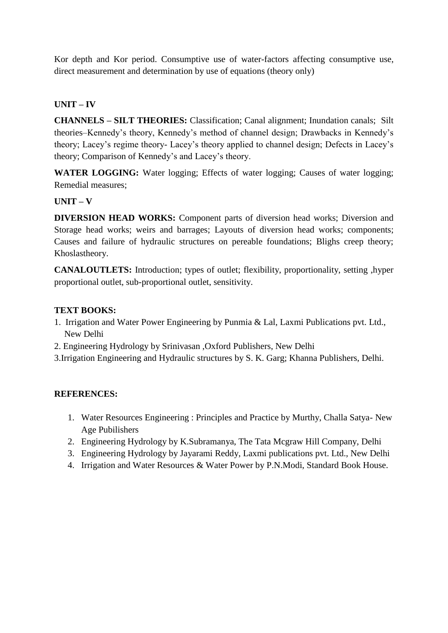Kor depth and Kor period. Consumptive use of water-factors affecting consumptive use, direct measurement and determination by use of equations (theory only)

## **UNIT – IV**

**CHANNELS – SILT THEORIES:** Classification; Canal alignment; Inundation canals; Silt theories–Kennedy's theory, Kennedy's method of channel design; Drawbacks in Kennedy's theory; Lacey's regime theory- Lacey's theory applied to channel design; Defects in Lacey's theory; Comparison of Kennedy's and Lacey's theory.

WATER LOGGING: Water logging; Effects of water logging; Causes of water logging; Remedial measures;

#### **UNIT – V**

**DIVERSION HEAD WORKS:** Component parts of diversion head works; Diversion and Storage head works; weirs and barrages; Layouts of diversion head works; components; Causes and failure of hydraulic structures on pereable foundations; Blighs creep theory; Khoslastheory.

**CANALOUTLETS:** Introduction; types of outlet; flexibility, proportionality, setting ,hyper proportional outlet, sub-proportional outlet, sensitivity.

#### **TEXT BOOKS:**

- 1. Irrigation and Water Power Engineering by Punmia & Lal, Laxmi Publications pvt. Ltd., New Delhi
- 2. Engineering Hydrology by Srinivasan ,Oxford Publishers, New Delhi
- 3.Irrigation Engineering and Hydraulic structures by S. K. Garg; Khanna Publishers, Delhi.

## **REFERENCES:**

- 1. Water Resources Engineering : Principles and Practice by Murthy, Challa Satya- New Age Pubilishers
- 2. Engineering Hydrology by K.Subramanya, The Tata Mcgraw Hill Company, Delhi
- 3. Engineering Hydrology by Jayarami Reddy, Laxmi publications pvt. Ltd., New Delhi
- 4. Irrigation and Water Resources & Water Power by P.N.Modi, Standard Book House.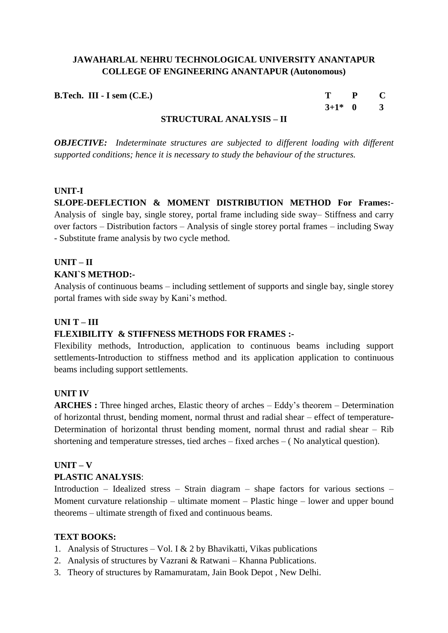| <b>B.Tech. III - I sem (C.E.)</b> |                                                                                                                                                                                                                                                                                                         |     | T P C       |  |
|-----------------------------------|---------------------------------------------------------------------------------------------------------------------------------------------------------------------------------------------------------------------------------------------------------------------------------------------------------|-----|-------------|--|
|                                   |                                                                                                                                                                                                                                                                                                         |     | $3+1^*$ 0 3 |  |
|                                   | $C = C$ $C = C$ $C = C$ $C = C$ $C = C$ $C = C$ $C = C$ $C = C$ $C = C$ $C = C$ $C = C$ $C = C$ $C = C$ $C = C$ $C = C$ $C = C$ $C = C$ $C = C$ $C = C$ $C = C$ $C = C$ $C = C$ $C = C$ $C = C$ $C = C$ $C = C$ $C = C$ $C = C$ $C = C$ $C = C$ $C = C$ $C = C$ $C = C$ $C = C$ $C = C$ $C = C$ $C = C$ | $-$ |             |  |

#### **STRUCTURAL ANALYSIS – II**

*OBJECTIVE: Indeterminate structures are subjected to different loading with different supported conditions; hence it is necessary to study the behaviour of the structures.*

#### **UNIT-I**

**SLOPE-DEFLECTION & MOMENT DISTRIBUTION METHOD For Frames:**- Analysis of single bay, single storey, portal frame including side sway– Stiffness and carry over factors – Distribution factors – Analysis of single storey portal frames – including Sway - Substitute frame analysis by two cycle method.

## **UNIT – II KANI`S METHOD:-**

Analysis of continuous beams – including settlement of supports and single bay, single storey portal frames with side sway by Kani's method.

#### **UNI T – III**

## **FLEXIBILITY & STIFFNESS METHODS FOR FRAMES :-**

Flexibility methods, Introduction, application to continuous beams including support settlements-Introduction to stiffness method and its application application to continuous beams including support settlements.

#### **UNIT IV**

**ARCHES :** Three hinged arches, Elastic theory of arches – Eddy's theorem – Determination of horizontal thrust, bending moment, normal thrust and radial shear – effect of temperature-Determination of horizontal thrust bending moment, normal thrust and radial shear – Rib shortening and temperature stresses, tied arches – fixed arches – ( No analytical question).

## **UNIT – V**

#### **PLASTIC ANALYSIS**:

Introduction – Idealized stress – Strain diagram – shape factors for various sections – Moment curvature relationship – ultimate moment – Plastic hinge – lower and upper bound theorems – ultimate strength of fixed and continuous beams.

#### **TEXT BOOKS:**

- 1. Analysis of Structures Vol. I  $& 2$  by Bhavikatti, Vikas publications
- 2. Analysis of structures by Vazrani & Ratwani Khanna Publications.
- 3. Theory of structures by Ramamuratam, Jain Book Depot , New Delhi.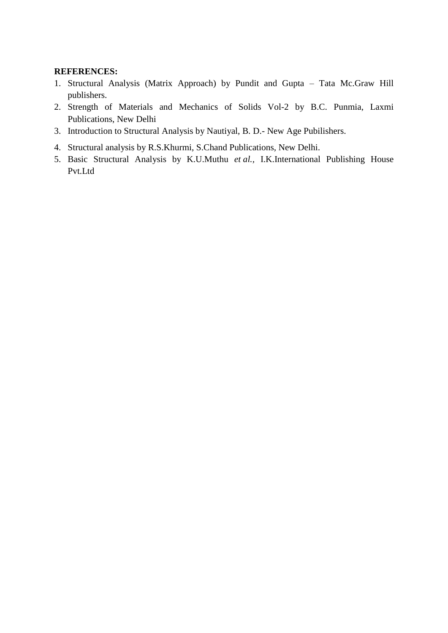## **REFERENCES:**

- 1. Structural Analysis (Matrix Approach) by Pundit and Gupta Tata Mc.Graw Hill publishers.
- 2. Strength of Materials and Mechanics of Solids Vol-2 by B.C. Punmia, Laxmi Publications, New Delhi
- 3. Introduction to Structural Analysis by Nautiyal, B. D.- New Age Pubilishers.
- 4. Structural analysis by R.S.Khurmi, S.Chand Publications, New Delhi.
- 5. Basic Structural Analysis by K.U.Muthu *et al.,* I.K.International Publishing House Pvt.Ltd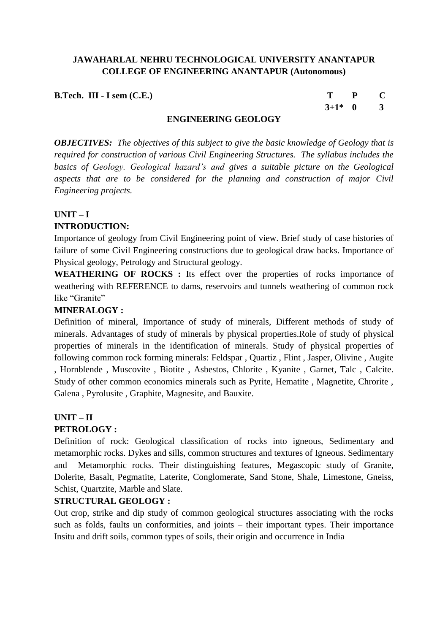**B.Tech. III - I sem (C.E.)** T P C

**3+1\* 0 3**

## **ENGINEERING GEOLOGY**

*OBJECTIVES: The objectives of this subject to give the basic knowledge of Geology that is required for construction of various Civil Engineering Structures. The syllabus includes the basics of Geology. Geological hazard's and gives a suitable picture on the Geological aspects that are to be considered for the planning and construction of major Civil Engineering projects.*

## **UNIT – I**

## **INTRODUCTION:**

Importance of geology from Civil Engineering point of view. Brief study of case histories of failure of some Civil Engineering constructions due to geological draw backs. Importance of Physical geology, Petrology and Structural geology.

WEATHERING OF ROCKS : Its effect over the properties of rocks importance of weathering with REFERENCE to dams, reservoirs and tunnels weathering of common rock like "Granite"

## **MINERALOGY :**

Definition of mineral, Importance of study of minerals, Different methods of study of minerals. Advantages of study of minerals by physical properties.Role of study of physical properties of minerals in the identification of minerals. Study of physical properties of following common rock forming minerals: Feldspar , Quartiz , Flint , Jasper, Olivine , Augite , Hornblende , Muscovite , Biotite , Asbestos, Chlorite , Kyanite , Garnet, Talc , Calcite. Study of other common economics minerals such as Pyrite, Hematite , Magnetite, Chrorite , Galena , Pyrolusite , Graphite, Magnesite, and Bauxite.

## **UNIT – II PETROLOGY :**

Definition of rock: Geological classification of rocks into igneous, Sedimentary and metamorphic rocks. Dykes and sills, common structures and textures of Igneous. Sedimentary and Metamorphic rocks. Their distinguishing features, Megascopic study of Granite, Dolerite, Basalt, Pegmatite, Laterite, Conglomerate, Sand Stone, Shale, Limestone, Gneiss, Schist, Quartzite, Marble and Slate.

## **STRUCTURAL GEOLOGY :**

Out crop, strike and dip study of common geological structures associating with the rocks such as folds, faults un conformities, and joints – their important types. Their importance Insitu and drift soils, common types of soils, their origin and occurrence in India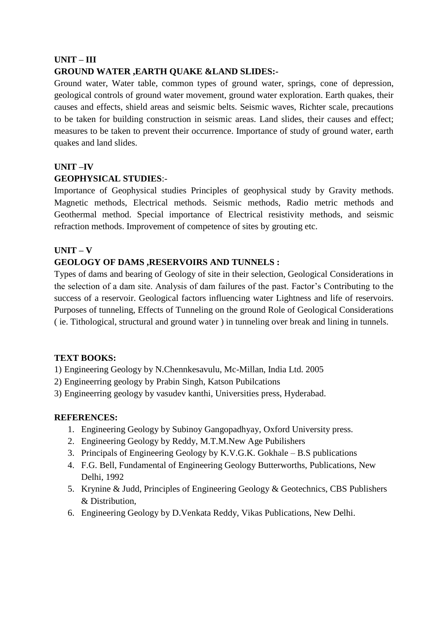## **UNIT – III**

## **GROUND WATER ,EARTH QUAKE &LAND SLIDES:-**

Ground water, Water table, common types of ground water, springs, cone of depression, geological controls of ground water movement, ground water exploration. Earth quakes, their causes and effects, shield areas and seismic belts. Seismic waves, Richter scale, precautions to be taken for building construction in seismic areas. Land slides, their causes and effect; measures to be taken to prevent their occurrence. Importance of study of ground water, earth quakes and land slides.

## **UNIT –IV GEOPHYSICAL STUDIES**:-

Importance of Geophysical studies Principles of geophysical study by Gravity methods. Magnetic methods, Electrical methods. Seismic methods, Radio metric methods and Geothermal method. Special importance of Electrical resistivity methods, and seismic refraction methods. Improvement of competence of sites by grouting etc.

## **UNIT – V**

## **GEOLOGY OF DAMS ,RESERVOIRS AND TUNNELS :**

Types of dams and bearing of Geology of site in their selection, Geological Considerations in the selection of a dam site. Analysis of dam failures of the past. Factor's Contributing to the success of a reservoir. Geological factors influencing water Lightness and life of reservoirs. Purposes of tunneling, Effects of Tunneling on the ground Role of Geological Considerations ( ie. Tithological, structural and ground water ) in tunneling over break and lining in tunnels.

## **TEXT BOOKS:**

1) Engineering Geology by N.Chennkesavulu, Mc-Millan, India Ltd. 2005

- 2) Engineerring geology by Prabin Singh, Katson Pubilcations
- 3) Engineerring geology by vasudev kanthi, Universities press, Hyderabad.

#### **REFERENCES:**

- 1. Engineering Geology by Subinoy Gangopadhyay, Oxford University press.
- 2. Engineering Geology by Reddy, M.T.M.New Age Pubilishers
- 3. Principals of Engineering Geology by K.V.G.K. Gokhale B.S publications
- 4. F.G. Bell, Fundamental of Engineering Geology Butterworths, Publications, New Delhi, 1992
- 5. Krynine & Judd, Principles of Engineering Geology & Geotechnics, CBS Publishers & Distribution,
- 6. Engineering Geology by D.Venkata Reddy, Vikas Publications, New Delhi.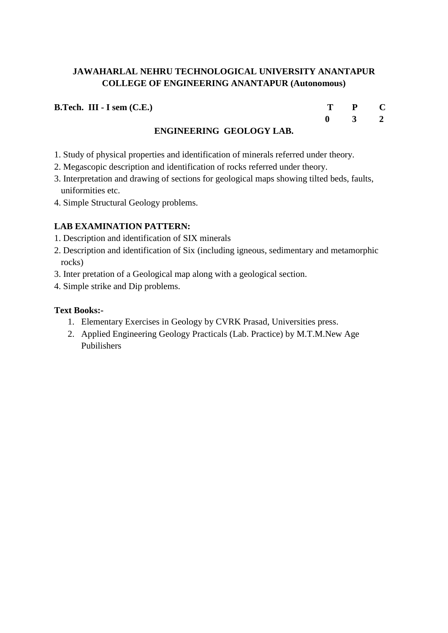**B.Tech. III - I sem (C.E.)** 

| T           | P | C            |
|-------------|---|--------------|
| $\mathbf 0$ | 3 | $\mathbf{2}$ |

## **ENGINEERING GEOLOGY LAB.**

- 1. Study of physical properties and identification of minerals referred under theory.
- 2. Megascopic description and identification of rocks referred under theory.
- 3. Interpretation and drawing of sections for geological maps showing tilted beds, faults, uniformities etc.
- 4. Simple Structural Geology problems.

## **LAB EXAMINATION PATTERN:**

- 1. Description and identification of SIX minerals
- 2. Description and identification of Six (including igneous, sedimentary and metamorphic rocks)
- 3. Inter pretation of a Geological map along with a geological section.
- 4. Simple strike and Dip problems.

## **Text Books:-**

- 1. Elementary Exercises in Geology by CVRK Prasad, Universities press.
- 2. Applied Engineering Geology Practicals (Lab. Practice) by M.T.M.New Age Pubilishers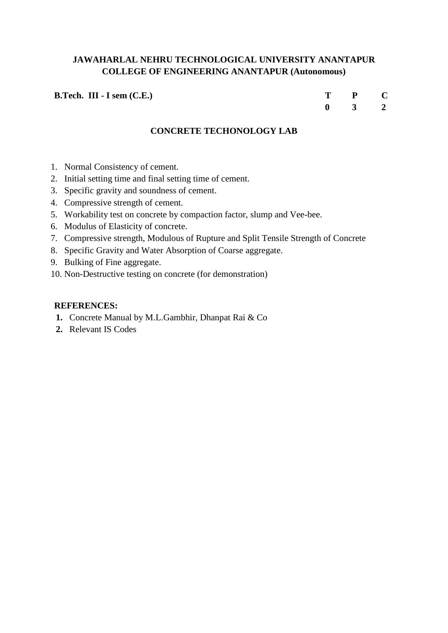**B.Tech. III - I sem (C.E.)** 

| т | P | C |
|---|---|---|
| 0 | 3 | 2 |

## **CONCRETE TECHONOLOGY LAB**

- 1. Normal Consistency of cement.
- 2. Initial setting time and final setting time of cement.
- 3. Specific gravity and soundness of cement.
- 4. Compressive strength of cement.
- 5. Workability test on concrete by compaction factor, slump and Vee-bee.
- 6. Modulus of Elasticity of concrete.
- 7. Compressive strength, Modulous of Rupture and Split Tensile Strength of Concrete
- 8. Specific Gravity and Water Absorption of Coarse aggregate.
- 9. Bulking of Fine aggregate.
- 10. Non-Destructive testing on concrete (for demonstration)

#### **REFERENCES:**

- **1.** Concrete Manual by M.L.Gambhir, Dhanpat Rai & Co
- **2.** Relevant IS Codes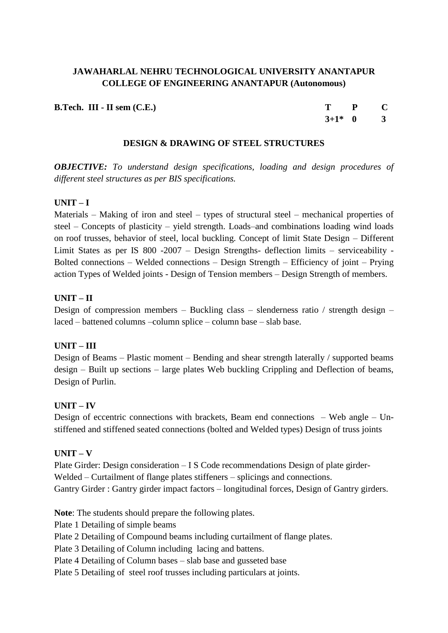**B.Tech. III - II sem (C.E.) T P C**

**3+1\* 0 3**

#### **DESIGN & DRAWING OF STEEL STRUCTURES**

*OBJECTIVE: To understand design specifications, loading and design procedures of different steel structures as per BIS specifications.*

## **UNIT – I**

Materials – Making of iron and steel – types of structural steel – mechanical properties of steel – Concepts of plasticity – yield strength. Loads–and combinations loading wind loads on roof trusses, behavior of steel, local buckling. Concept of limit State Design – Different Limit States as per IS 800 -2007 – Design Strengths- deflection limits – serviceability - Bolted connections – Welded connections – Design Strength – Efficiency of joint – Prying action Types of Welded joints - Design of Tension members – Design Strength of members.

#### **UNIT – II**

Design of compression members – Buckling class – slenderness ratio / strength design – laced – battened columns –column splice – column base – slab base.

## **UNIT – III**

Design of Beams – Plastic moment – Bending and shear strength laterally / supported beams design – Built up sections – large plates Web buckling Crippling and Deflection of beams, Design of Purlin.

## **UNIT – IV**

Design of eccentric connections with brackets, Beam end connections – Web angle – Unstiffened and stiffened seated connections (bolted and Welded types) Design of truss joints

#### **UNIT – V**

Plate Girder: Design consideration – I S Code recommendations Design of plate girder-Welded – Curtailment of flange plates stiffeners – splicings and connections. Gantry Girder : Gantry girder impact factors – longitudinal forces, Design of Gantry girders.

**Note**: The students should prepare the following plates.

Plate 1 Detailing of simple beams

Plate 2 Detailing of Compound beams including curtailment of flange plates.

Plate 3 Detailing of Column including lacing and battens.

Plate 4 Detailing of Column bases – slab base and gusseted base

Plate 5 Detailing of steel roof trusses including particulars at joints.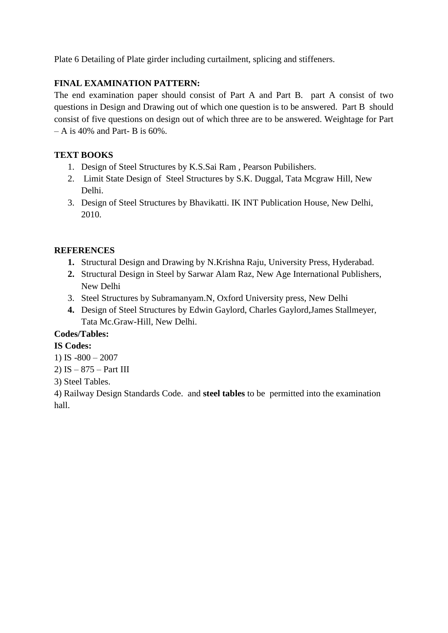Plate 6 Detailing of Plate girder including curtailment, splicing and stiffeners.

# **FINAL EXAMINATION PATTERN:**

The end examination paper should consist of Part A and Part B. part A consist of two questions in Design and Drawing out of which one question is to be answered. Part B should consist of five questions on design out of which three are to be answered. Weightage for Part  $- A$  is 40% and Part- B is 60%.

## **TEXT BOOKS**

- 1. Design of Steel Structures by K.S.Sai Ram , Pearson Pubilishers.
- 2. Limit State Design of Steel Structures by S.K. Duggal, Tata Mcgraw Hill, New Delhi.
- 3. Design of Steel Structures by Bhavikatti. IK INT Publication House, New Delhi, 2010.

## **REFERENCES**

- **1.** Structural Design and Drawing by N.Krishna Raju, University Press, Hyderabad.
- **2.** Structural Design in Steel by Sarwar Alam Raz, New Age International Publishers, New Delhi
- 3. Steel Structures by Subramanyam.N, Oxford University press, New Delhi
- **4.** Design of Steel Structures by Edwin Gaylord, Charles Gaylord,James Stallmeyer, Tata Mc.Graw-Hill, New Delhi.

## **Codes/Tables:**

## **IS Codes:**

- 1) IS -800 2007
- 2) IS 875 Part III
- 3) Steel Tables.

4) Railway Design Standards Code. and **steel tables** to be permitted into the examination hall.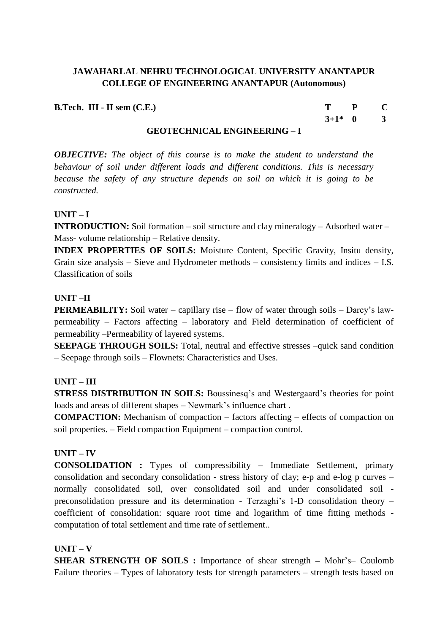**B.Tech. III - II sem (C.E.) T P C**

**3+1\* 0 3**

#### **GEOTECHNICAL ENGINEERING – I**

*OBJECTIVE: The object of this course is to make the student to understand the behaviour of soil under different loads and different conditions. This is necessary because the safety of any structure depends on soil on which it is going to be constructed.*

#### **UNIT – I**

**INTRODUCTION:** Soil formation – soil structure and clay mineralogy – Adsorbed water – Mass- volume relationship – Relative density.

**INDEX PROPERTIES OF SOILS:** Moisture Content, Specific Gravity, Insitu density, Grain size analysis – Sieve and Hydrometer methods – consistency limits and indices – I.S. Classification of soils

#### **UNIT –II**

**PERMEABILITY:** Soil water – capillary rise – flow of water through soils – Darcy's lawpermeability – Factors affecting – laboratory and Field determination of coefficient of permeability –Permeability of layered systems.

**SEEPAGE THROUGH SOILS:** Total, neutral and effective stresses –quick sand condition – Seepage through soils – Flownets: Characteristics and Uses.

## **UNIT – III**

**STRESS DISTRIBUTION IN SOILS:** Boussinesq's and Westergaard's theories for point loads and areas of different shapes – Newmark's influence chart .

**COMPACTION:** Mechanism of compaction – factors affecting – effects of compaction on soil properties. – Field compaction Equipment – compaction control.

## **UNIT – IV**

**CONSOLIDATION :** Types of compressibility – Immediate Settlement, primary consolidation and secondary consolidation **-** stress history of clay; e-p and e-log p curves – normally consolidated soil, over consolidated soil and under consolidated soil preconsolidation pressure and its determination - Terzaghi's 1-D consolidation theory – coefficient of consolidation: square root time and logarithm of time fitting methods computation of total settlement and time rate of settlement..

#### **UNIT – V**

**SHEAR STRENGTH OF SOILS :** Importance of shear strength **–** Mohr's– Coulomb Failure theories – Types of laboratory tests for strength parameters – strength tests based on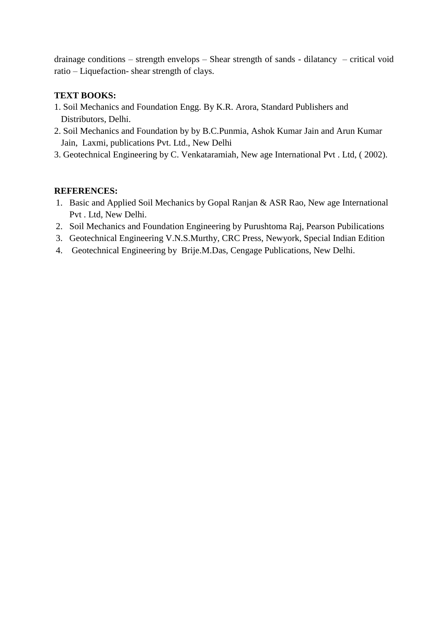drainage conditions – strength envelops – Shear strength of sands - dilatancy – critical void ratio – Liquefaction- shear strength of clays.

## **TEXT BOOKS:**

- 1. Soil Mechanics and Foundation Engg. By K.R. Arora, Standard Publishers and Distributors, Delhi.
- 2. Soil Mechanics and Foundation by by B.C.Punmia, Ashok Kumar Jain and Arun Kumar Jain, Laxmi, publications Pvt. Ltd., New Delhi
- 3. Geotechnical Engineering by C. Venkataramiah, New age International Pvt . Ltd, ( 2002).

#### **REFERENCES:**

- 1. Basic and Applied Soil Mechanics by Gopal Ranjan & ASR Rao, New age International Pvt . Ltd, New Delhi.
- 2. Soil Mechanics and Foundation Engineering by Purushtoma Raj, Pearson Pubilications
- 3. Geotechnical Engineering V.N.S.Murthy, CRC Press, Newyork, Special Indian Edition
- 4. Geotechnical Engineering by Brije.M.Das, Cengage Publications, New Delhi.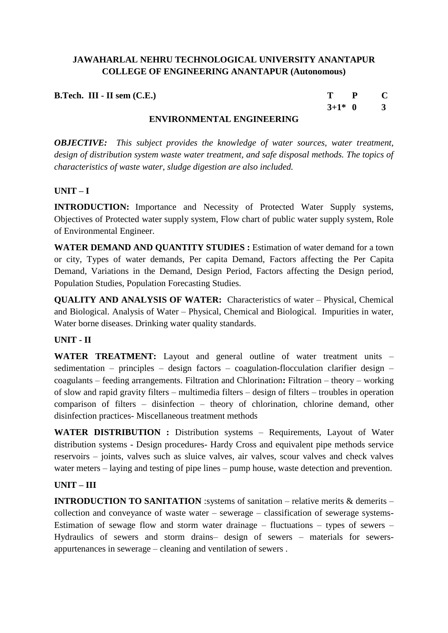**B.Tech. III - II sem (C.E.) T P C**

**3+1\* 0 3**

## **ENVIRONMENTAL ENGINEERING**

*OBJECTIVE: This subject provides the knowledge of water sources, water treatment, design of distribution system waste water treatment, and safe disposal methods. The topics of characteristics of waste water, sludge digestion are also included.*

## **UNIT – I**

**INTRODUCTION:** Importance and Necessity of Protected Water Supply systems, Objectives of Protected water supply system, Flow chart of public water supply system, Role of Environmental Engineer.

**WATER DEMAND AND QUANTITY STUDIES :** Estimation of water demand for a town or city, Types of water demands, Per capita Demand, Factors affecting the Per Capita Demand, Variations in the Demand, Design Period, Factors affecting the Design period, Population Studies, Population Forecasting Studies.

**QUALITY AND ANALYSIS OF WATER:** Characteristics of water – Physical, Chemical and Biological. Analysis of Water – Physical, Chemical and Biological. Impurities in water, Water borne diseases. Drinking water quality standards.

## **UNIT - II**

**WATER TREATMENT:** Layout and general outline of water treatment units – sedimentation – principles – design factors – coagulation-flocculation clarifier design – coagulants – feeding arrangements. Filtration and Chlorination**:** Filtration – theory – working of slow and rapid gravity filters – multimedia filters – design of filters – troubles in operation comparison of filters – disinfection – theory of chlorination, chlorine demand, other disinfection practices- Miscellaneous treatment methods

WATER DISTRIBUTION : Distribution systems – Requirements, Layout of Water distribution systems - Design procedures- Hardy Cross and equivalent pipe methods service reservoirs – joints, valves such as sluice valves, air valves, scour valves and check valves water meters – laying and testing of pipe lines – pump house, waste detection and prevention.

## **UNIT – III**

**INTRODUCTION TO SANITATION** :systems of sanitation – relative merits & demerits – collection and conveyance of waste water – sewerage – classification of sewerage systems-Estimation of sewage flow and storm water drainage – fluctuations – types of sewers – Hydraulics of sewers and storm drains– design of sewers – materials for sewersappurtenances in sewerage – cleaning and ventilation of sewers .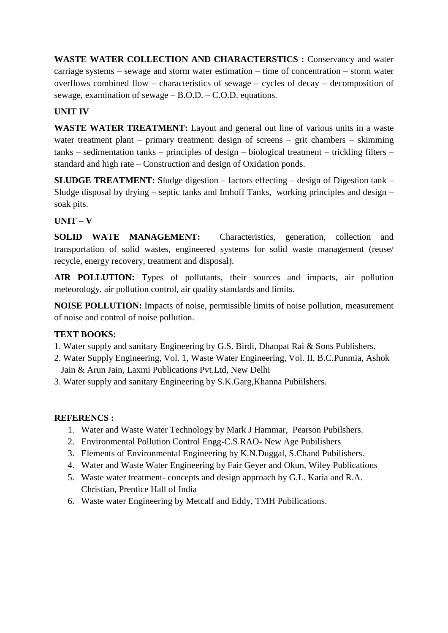**WASTE WATER COLLECTION AND CHARACTERSTICS :** Conservancy and water carriage systems – sewage and storm water estimation – time of concentration – storm water overflows combined flow – characteristics of sewage – cycles of decay – decomposition of sewage, examination of sewage – B.O.D. – C.O.D. equations.

## **UNIT IV**

**WASTE WATER TREATMENT:** Layout and general out line of various units in a waste water treatment plant – primary treatment: design of screens – grit chambers – skimming tanks – sedimentation tanks – principles of design – biological treatment – trickling filters – standard and high rate – Construction and design of Oxidation ponds.

**SLUDGE TREATMENT:** Sludge digestion – factors effecting – design of Digestion tank – Sludge disposal by drying – septic tanks and Imhoff Tanks, working principles and design – soak pits.

## **UNIT – V**

**SOLID WATE MANAGEMENT:** Characteristics, generation, collection and transportation of solid wastes, engineered systems for solid waste management (reuse/ recycle, energy recovery, treatment and disposal).

**AIR POLLUTION:** Types of pollutants, their sources and impacts, air pollution meteorology, air pollution control, air quality standards and limits.

**NOISE POLLUTION:** Impacts of noise, permissible limits of noise pollution, measurement of noise and control of noise pollution.

## **TEXT BOOKS:**

- 1. Water supply and sanitary Engineering by G.S. Birdi, Dhanpat Rai & Sons Publishers.
- 2. Water Supply Engineering, Vol. 1, Waste Water Engineering, Vol. II, B.C.Punmia, Ashok Jain & Arun Jain, Laxmi Publications Pvt.Ltd, New Delhi
- 3. Water supply and sanitary Engineering by S.K.Garg,Khanna Pubiilshers.

## **REFERENCS :**

- 1. Water and Waste Water Technology by Mark J Hammar, Pearson Pubilshers.
- 2. Environmental Pollution Control Engg-C.S.RAO- New Age Pubilishers
- 3. Elements of Environmental Engineering by K.N.Duggal, S.Chand Pubilishers.
- 4. Water and Waste Water Engineering by Fair Geyer and Okun, Wiley Publications
- 5. Waste water treatment- concepts and design approach by G.L. Karia and R.A. Christian, Prentice Hall of India
- 6. Waste water Engineering by Metcalf and Eddy, TMH Pubilications.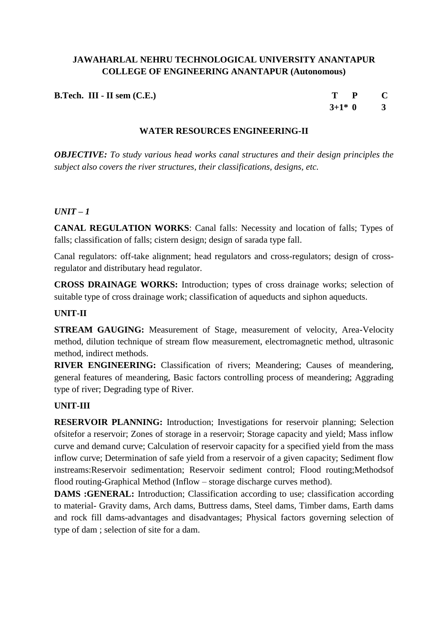| <b>B.Tech. III - II sem <math>(C.E.)</math></b> |  |  |  |
|-------------------------------------------------|--|--|--|
|-------------------------------------------------|--|--|--|

| т       | P | C            |
|---------|---|--------------|
| $3+1*0$ |   | $\mathbf{B}$ |

## **WATER RESOURCES ENGINEERING-II**

*OBJECTIVE: To study various head works canal structures and their design principles the subject also covers the river structures, their classifications, designs, etc.*

## $I/NT - 1$

**CANAL REGULATION WORKS**: Canal falls: Necessity and location of falls; Types of falls; classification of falls; cistern design; design of sarada type fall.

Canal regulators: off-take alignment; head regulators and cross-regulators; design of crossregulator and distributary head regulator.

**CROSS DRAINAGE WORKS:** Introduction; types of cross drainage works; selection of suitable type of cross drainage work; classification of aqueducts and siphon aqueducts.

## **UNIT-II**

**STREAM GAUGING:** Measurement of Stage, measurement of velocity, Area-Velocity method, dilution technique of stream flow measurement, electromagnetic method, ultrasonic method, indirect methods.

**RIVER ENGINEERING:** Classification of rivers; Meandering; Causes of meandering, general features of meandering, Basic factors controlling process of meandering; Aggrading type of river; Degrading type of River.

## **UNIT-III**

**RESERVOIR PLANNING:** Introduction; Investigations for reservoir planning; Selection ofsitefor a reservoir; Zones of storage in a reservoir; Storage capacity and yield; Mass inflow curve and demand curve; Calculation of reservoir capacity for a specified yield from the mass inflow curve; Determination of safe yield from a reservoir of a given capacity; Sediment flow instreams:Reservoir sedimentation; Reservoir sediment control; Flood routing;Methodsof flood routing-Graphical Method (Inflow – storage discharge curves method).

**DAMS** : GENERAL: Introduction; Classification according to use; classification according to material- Gravity dams, Arch dams, Buttress dams, Steel dams, Timber dams, Earth dams and rock fill dams-advantages and disadvantages; Physical factors governing selection of type of dam ; selection of site for a dam.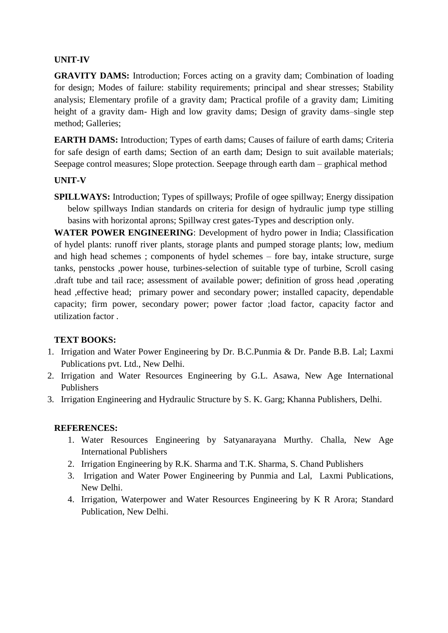## **UNIT-IV**

**GRAVITY DAMS:** Introduction; Forces acting on a gravity dam; Combination of loading for design; Modes of failure: stability requirements; principal and shear stresses; Stability analysis; Elementary profile of a gravity dam; Practical profile of a gravity dam; Limiting height of a gravity dam- High and low gravity dams; Design of gravity dams–single step method; Galleries;

**EARTH DAMS:** Introduction; Types of earth dams; Causes of failure of earth dams; Criteria for safe design of earth dams; Section of an earth dam; Design to suit available materials; Seepage control measures; Slope protection. Seepage through earth dam – graphical method

## **UNIT-V**

**SPILLWAYS:** Introduction; Types of spillways; Profile of ogee spillway; Energy dissipation below spillways Indian standards on criteria for design of hydraulic jump type stilling basins with horizontal aprons; Spillway crest gates-Types and description only.

**WATER POWER ENGINEERING**: Development of hydro power in India; Classification of hydel plants: runoff river plants, storage plants and pumped storage plants; low, medium and high head schemes ; components of hydel schemes – fore bay, intake structure, surge tanks, penstocks ,power house, turbines-selection of suitable type of turbine, Scroll casing .draft tube and tail race; assessment of available power; definition of gross head ,operating head ,effective head; primary power and secondary power; installed capacity, dependable capacity; firm power, secondary power; power factor ;load factor, capacity factor and utilization factor .

## **TEXT BOOKS:**

- 1. Irrigation and Water Power Engineering by Dr. B.C.Punmia & Dr. Pande B.B. Lal; Laxmi Publications pvt. Ltd., New Delhi.
- 2. Irrigation and Water Resources Engineering by G.L. Asawa, New Age International Publishers
- 3. Irrigation Engineering and Hydraulic Structure by S. K. Garg; Khanna Publishers, Delhi.

## **REFERENCES:**

- 1. Water Resources Engineering by Satyanarayana Murthy. Challa, New Age International Publishers
- 2. Irrigation Engineering by R.K. Sharma and T.K. Sharma, S. Chand Publishers
- 3. Irrigation and Water Power Engineering by Punmia and Lal, Laxmi Publications, New Delhi.
- 4. Irrigation, Waterpower and Water Resources Engineering by K R Arora; Standard Publication, New Delhi.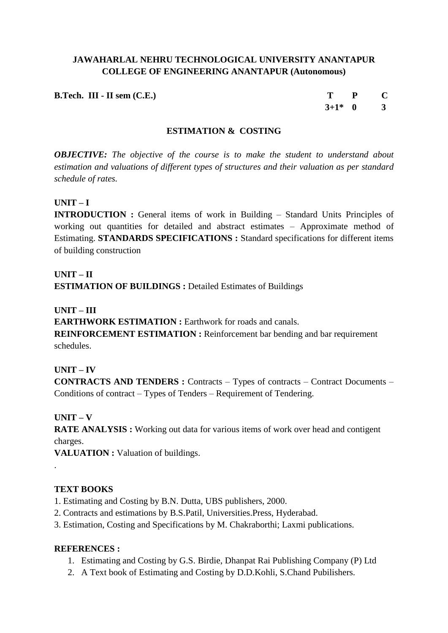**B.Tech. III - II sem (C.E.) T P C**

 $3+1^* = 0$  3

## **ESTIMATION & COSTING**

*OBJECTIVE: The objective of the course is to make the student to understand about estimation and valuations of different types of structures and their valuation as per standard schedule of rates.*

## **UNIT – I**

**INTRODUCTION :** General items of work in Building – Standard Units Principles of working out quantities for detailed and abstract estimates – Approximate method of Estimating. **STANDARDS SPECIFICATIONS :** Standard specifications for different items of building construction

## **UNIT – II**

**ESTIMATION OF BUILDINGS : Detailed Estimates of Buildings** 

#### **UNIT – III**

**EARTHWORK ESTIMATION : Earthwork for roads and canals. REINFORCEMENT ESTIMATION :** Reinforcement bar bending and bar requirement schedules.

## **UNIT – IV**

**CONTRACTS AND TENDERS :** Contracts – Types of contracts – Contract Documents – Conditions of contract – Types of Tenders – Requirement of Tendering.

## **UNIT – V**

.

**RATE ANALYSIS :** Working out data for various items of work over head and contigent charges.

**VALUATION : Valuation of buildings.** 

## **TEXT BOOKS**

- 1. Estimating and Costing by B.N. Dutta, UBS publishers, 2000.
- 2. Contracts and estimations by B.S.Patil, Universities.Press, Hyderabad.
- 3. Estimation, Costing and Specifications by M. Chakraborthi; Laxmi publications.

## **REFERENCES :**

- 1. Estimating and Costing by G.S. Birdie, Dhanpat Rai Publishing Company (P) Ltd
- 2. A Text book of Estimating and Costing by D.D.Kohli, S.Chand Pubilishers.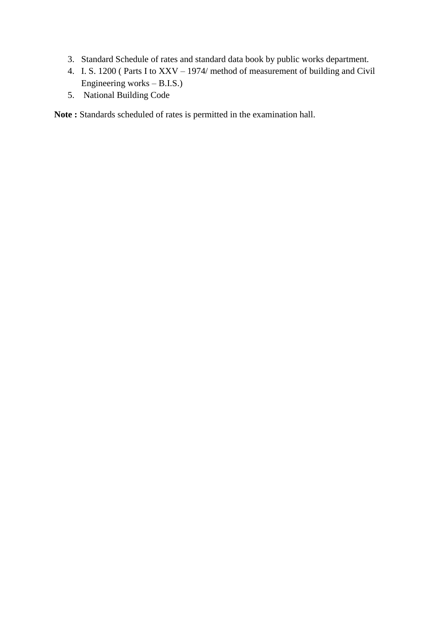- 3. Standard Schedule of rates and standard data book by public works department.
- 4. I. S. 1200 ( Parts I to XXV 1974/ method of measurement of building and Civil Engineering works – B.I.S.)
- 5. National Building Code

**Note :** Standards scheduled of rates is permitted in the examination hall.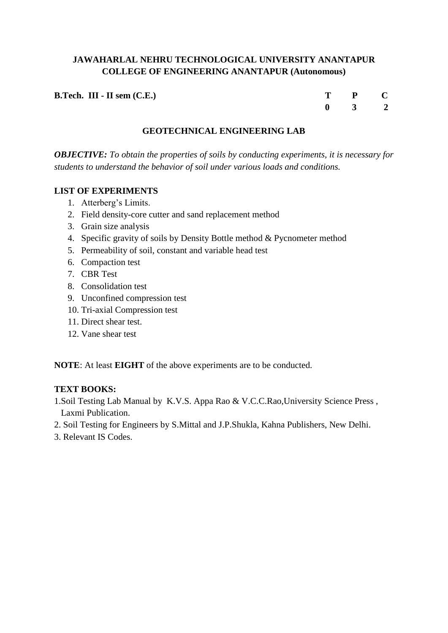| <b>B.Tech. III - II sem (C.E.)</b> | T P C               |  |
|------------------------------------|---------------------|--|
|                                    | $0 \quad 3 \quad 2$ |  |

## **GEOTECHNICAL ENGINEERING LAB**

*OBJECTIVE: To obtain the properties of soils by conducting experiments, it is necessary for students to understand the behavior of soil under various loads and conditions.*

#### **LIST OF EXPERIMENTS**

- 1. Atterberg's Limits.
- 2. Field density-core cutter and sand replacement method
- 3. Grain size analysis
- 4. Specific gravity of soils by Density Bottle method & Pycnometer method
- 5. Permeability of soil, constant and variable head test
- 6. Compaction test
- 7. CBR Test
- 8. Consolidation test
- 9. Unconfined compression test
- 10. Tri-axial Compression test
- 11. Direct shear test.
- 12. Vane shear test

**NOTE**: At least **EIGHT** of the above experiments are to be conducted.

## **TEXT BOOKS:**

- 1.Soil Testing Lab Manual by K.V.S. Appa Rao & V.C.C.Rao,University Science Press , Laxmi Publication.
- 2. Soil Testing for Engineers by S.Mittal and J.P.Shukla, Kahna Publishers, New Delhi.
- 3. Relevant IS Codes.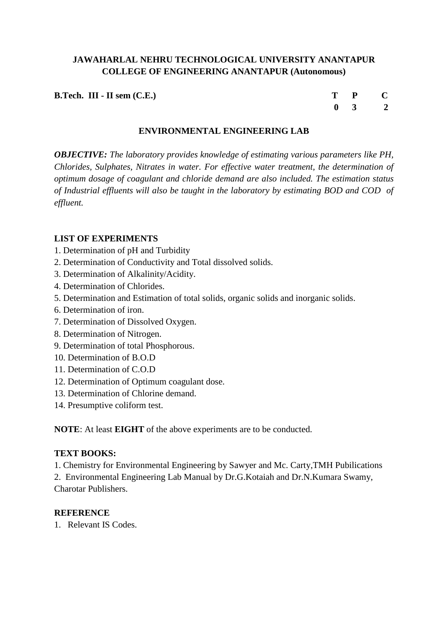**B.Tech. III - II sem (C.E.)** 

| т |             | $\mathbf{P}$            | C.           |
|---|-------------|-------------------------|--------------|
|   | $\mathbf 0$ | $\overline{\mathbf{3}}$ | $\mathbf{2}$ |

## **ENVIRONMENTAL ENGINEERING LAB**

*OBJECTIVE: The laboratory provides knowledge of estimating various parameters like PH, Chlorides, Sulphates, Nitrates in water. For effective water treatment, the determination of optimum dosage of coagulant and chloride demand are also included. The estimation status of Industrial effluents will also be taught in the laboratory by estimating BOD and COD of effluent.* 

## **LIST OF EXPERIMENTS**

- 1. Determination of pH and Turbidity
- 2. Determination of Conductivity and Total dissolved solids.
- 3. Determination of Alkalinity/Acidity.
- 4. Determination of Chlorides.
- 5. Determination and Estimation of total solids, organic solids and inorganic solids.
- 6. Determination of iron.
- 7. Determination of Dissolved Oxygen.
- 8. Determination of Nitrogen.
- 9. Determination of total Phosphorous.
- 10. Determination of B.O.D
- 11. Determination of C.O.D
- 12. Determination of Optimum coagulant dose.
- 13. Determination of Chlorine demand.
- 14. Presumptive coliform test.

**NOTE**: At least **EIGHT** of the above experiments are to be conducted.

#### **TEXT BOOKS:**

1. Chemistry for Environmental Engineering by Sawyer and Mc. Carty,TMH Pubilications 2. Environmental Engineering Lab Manual by Dr.G.Kotaiah and Dr.N.Kumara Swamy, Charotar Publishers.

#### **REFERENCE**

1. Relevant IS Codes.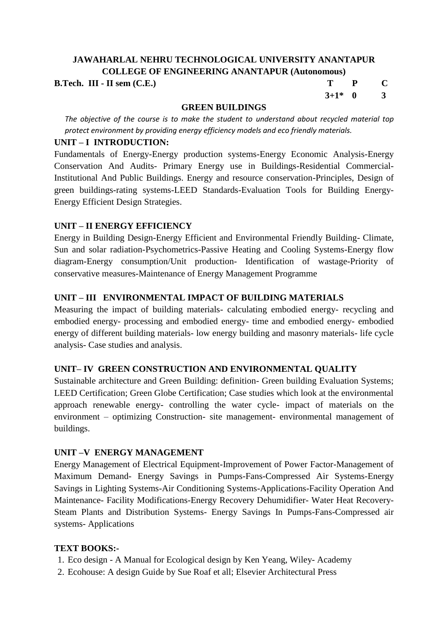#### **B.Tech. III - II sem (C.E.)**

| Т         | P | C |
|-----------|---|---|
| $3+1^*$ 0 |   | 3 |

#### **GREEN BUILDINGS**

*The objective of the course is to make the student to understand about recycled material top protect environment by providing energy efficiency models and eco friendly materials.*

#### **UNIT – I INTRODUCTION:**

Fundamentals of Energy-Energy production systems-Energy Economic Analysis-Energy Conservation And Audits- Primary Energy use in Buildings-Residential Commercial-Institutional And Public Buildings. Energy and resource conservation-Principles, Design of green buildings-rating systems-LEED Standards-Evaluation Tools for Building Energy-Energy Efficient Design Strategies.

## **UNIT – II ENERGY EFFICIENCY**

Energy in Building Design-Energy Efficient and Environmental Friendly Building- Climate, Sun and solar radiation-Psychometrics-Passive Heating and Cooling Systems-Energy flow diagram-Energy consumption/Unit production- Identification of wastage-Priority of conservative measures-Maintenance of Energy Management Programme

## **UNIT – III ENVIRONMENTAL IMPACT OF BUILDING MATERIALS**

Measuring the impact of building materials- calculating embodied energy- recycling and embodied energy- processing and embodied energy- time and embodied energy- embodied energy of different building materials- low energy building and masonry materials- life cycle analysis- Case studies and analysis.

## **UNIT– IV GREEN CONSTRUCTION AND ENVIRONMENTAL QUALITY**

Sustainable architecture and Green Building: definition- Green building Evaluation Systems; LEED Certification; Green Globe Certification; Case studies which look at the environmental approach renewable energy- controlling the water cycle- impact of materials on the environment – optimizing Construction- site management- environmental management of buildings.

## **UNIT –V ENERGY MANAGEMENT**

Energy Management of Electrical Equipment-Improvement of Power Factor-Management of Maximum Demand- Energy Savings in Pumps-Fans-Compressed Air Systems-Energy Savings in Lighting Systems-Air Conditioning Systems-Applications-Facility Operation And Maintenance- Facility Modifications-Energy Recovery Dehumidifier- Water Heat Recovery-Steam Plants and Distribution Systems- Energy Savings In Pumps-Fans-Compressed air systems- Applications

## **TEXT BOOKS:-**

- 1. Eco design A Manual for Ecological design by Ken Yeang, Wiley- Academy
- 2. Ecohouse: A design Guide by Sue Roaf et all; Elsevier Architectural Press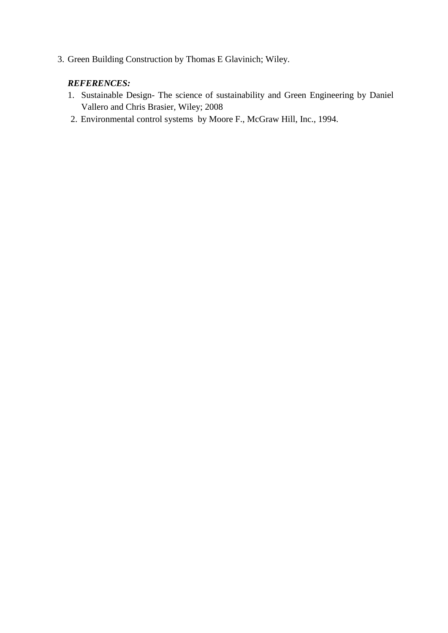3. Green Building Construction by Thomas E Glavinich; Wiley.

## *REFERENCES:*

- 1. Sustainable Design- The science of sustainability and Green Engineering by Daniel Vallero and Chris Brasier, Wiley; 2008
- 2. Environmental control systems by Moore F., McGraw Hill, Inc., 1994.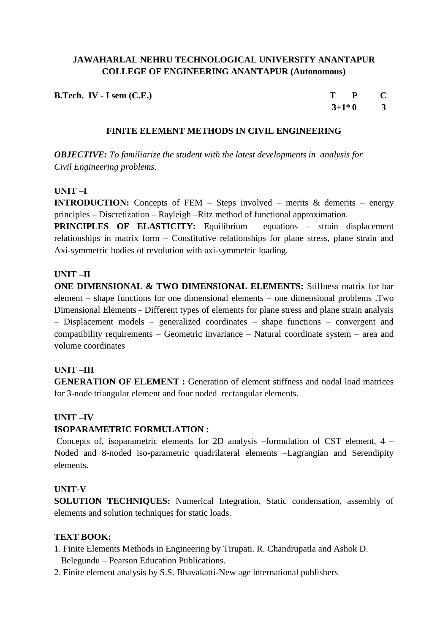| <b>B.Tech.</b> IV - I sem (C.E.) | T P C     |  |
|----------------------------------|-----------|--|
|                                  | $3+1*0$ 3 |  |

#### **FINITE ELEMENT METHODS IN CIVIL ENGINEERING**

*OBJECTIVE: To familiarize the student with the latest developments in analysis for Civil Engineering problems.*

#### **UNIT –I**

**INTRODUCTION:** Concepts of FEM – Steps involved – merits & demerits – energy principles – Discretization – Rayleigh –Ritz method of functional approximation.

**PRINCIPLES OF ELASTICITY:** Equilibrium equations – strain displacement relationships in matrix form – Constitutive relationships for plane stress, plane strain and Axi-symmetric bodies of revolution with axi-symmetric loading.

#### **UNIT –II**

**ONE DIMENSIONAL & TWO DIMENSIONAL ELEMENTS:** Stiffness matrix for bar element – shape functions for one dimensional elements – one dimensional problems .Two Dimensional Elements - Different types of elements for plane stress and plane strain analysis – Displacement models – generalized coordinates – shape functions – convergent and compatibility requirements – Geometric invariance – Natural coordinate system – area and volume coordinates

#### **UNIT –III**

**GENERATION OF ELEMENT :** Generation of element stiffness and nodal load matrices for 3-node triangular element and four noded rectangular elements.

#### **UNIT –IV**

#### **ISOPARAMETRIC FORMULATION :**

Concepts of, isoparametric elements for 2D analysis –formulation of CST element, 4 – Noded and 8-noded iso-parametric quadrilateral elements –Lagrangian and Serendipity elements.

#### **UNIT-V**

**SOLUTION TECHNIQUES:** Numerical Integration, Static condensation, assembly of elements and solution techniques for static loads.

#### **TEXT BOOK:**

- 1. Finite Elements Methods in Engineering by Tirupati. R. Chandrupatla and Ashok D. Belegundu – Pearson Education Publications.
- 2. Finite element analysis by S.S. Bhavakatti-New age international publishers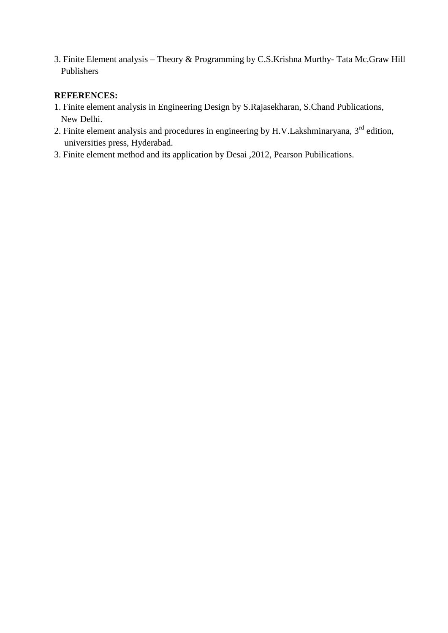3. Finite Element analysis – Theory & Programming by C.S.Krishna Murthy- Tata Mc.Graw Hill Publishers

## **REFERENCES:**

- 1. Finite element analysis in Engineering Design by S.Rajasekharan, S.Chand Publications, New Delhi.
- 2. Finite element analysis and procedures in engineering by H.V.Lakshminaryana, 3<sup>rd</sup> edition, universities press, Hyderabad.
- 3. Finite element method and its application by Desai ,2012, Pearson Pubilications.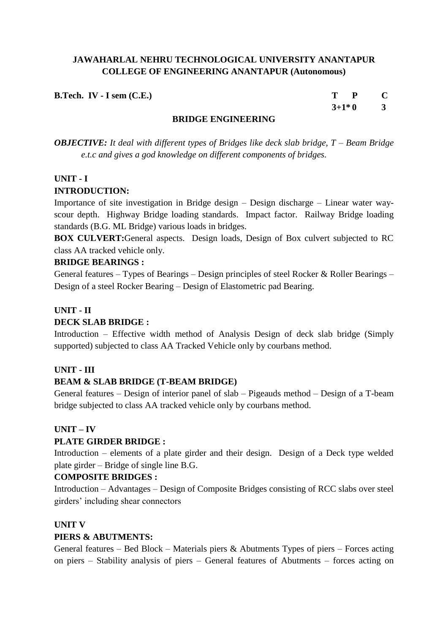| B.Tech. IV - I sem (C.E.) | $T$ $P$ $C$ |  |
|---------------------------|-------------|--|
|                           | $3+1*0$ 3   |  |

#### **BRIDGE ENGINEERING**

*OBJECTIVE: It deal with different types of Bridges like deck slab bridge, T – Beam Bridge e.t.c and gives a god knowledge on different components of bridges.*

## **UNIT - I**

## **INTRODUCTION:**

Importance of site investigation in Bridge design – Design discharge – Linear water wayscour depth. Highway Bridge loading standards. Impact factor. Railway Bridge loading standards (B.G. ML Bridge) various loads in bridges.

**BOX CULVERT:**General aspects. Design loads, Design of Box culvert subjected to RC class AA tracked vehicle only.

## **BRIDGE BEARINGS :**

General features – Types of Bearings – Design principles of steel Rocker & Roller Bearings – Design of a steel Rocker Bearing – Design of Elastometric pad Bearing.

## **UNIT - II**

## **DECK SLAB BRIDGE :**

Introduction – Effective width method of Analysis Design of deck slab bridge (Simply supported) subjected to class AA Tracked Vehicle only by courbans method.

## **UNIT - III**

## **BEAM & SLAB BRIDGE (T-BEAM BRIDGE)**

General features – Design of interior panel of slab – Pigeauds method – Design of a T-beam bridge subjected to class AA tracked vehicle only by courbans method.

## **UNIT – IV**

## **PLATE GIRDER BRIDGE :**

Introduction – elements of a plate girder and their design. Design of a Deck type welded plate girder – Bridge of single line B.G.

## **COMPOSITE BRIDGES :**

Introduction – Advantages – Design of Composite Bridges consisting of RCC slabs over steel girders' including shear connectors

## **UNIT V**

## **PIERS & ABUTMENTS:**

General features – Bed Block – Materials piers & Abutments Types of piers – Forces acting on piers – Stability analysis of piers – General features of Abutments – forces acting on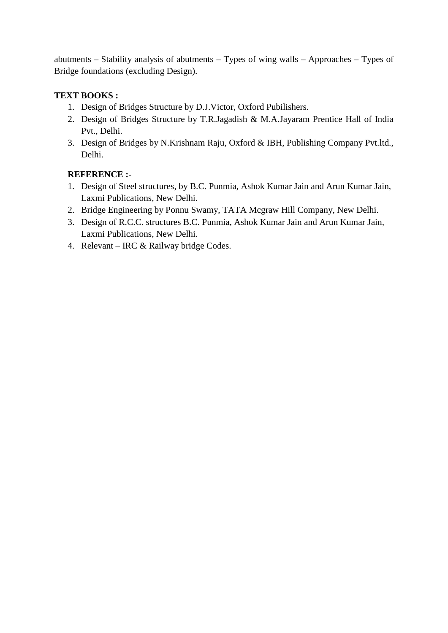abutments – Stability analysis of abutments – Types of wing walls – Approaches – Types of Bridge foundations (excluding Design).

## **TEXT BOOKS :**

- 1. Design of Bridges Structure by D.J.Victor, Oxford Pubilishers.
- 2. Design of Bridges Structure by T.R.Jagadish & M.A.Jayaram Prentice Hall of India Pvt., Delhi.
- 3. Design of Bridges by N.Krishnam Raju, Oxford & IBH, Publishing Company Pvt.ltd., Delhi.

## **REFERENCE :-**

- 1. Design of Steel structures, by B.C. Punmia, Ashok Kumar Jain and Arun Kumar Jain, Laxmi Publications, New Delhi.
- 2. Bridge Engineering by Ponnu Swamy, TATA Mcgraw Hill Company, New Delhi.
- 3. Design of R.C.C. structures B.C. Punmia, Ashok Kumar Jain and Arun Kumar Jain, Laxmi Publications, New Delhi.
- 4. Relevant IRC & Railway bridge Codes.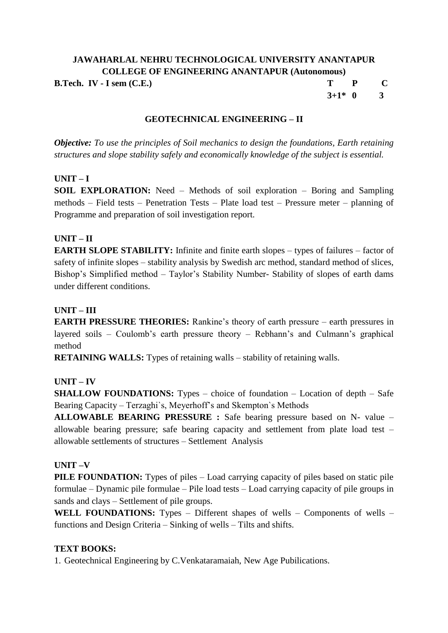## **JAWAHARLAL NEHRU TECHNOLOGICAL UNIVERSITY ANANTAPUR COLLEGE OF ENGINEERING ANANTAPUR (Autonomous) B.Tech. IV - I sem (C.E.) T P C**  $3+1*0$  3

#### **GEOTECHNICAL ENGINEERING – II**

*Objective: To use the principles of Soil mechanics to design the foundations, Earth retaining structures and slope stability safely and economically knowledge of the subject is essential.*

#### **UNIT – I**

**SOIL EXPLORATION:** Need – Methods of soil exploration – Boring and Sampling methods – Field tests – Penetration Tests – Plate load test – Pressure meter – planning of Programme and preparation of soil investigation report.

#### **UNIT – II**

**EARTH SLOPE STABILITY:** Infinite and finite earth slopes – types of failures – factor of safety of infinite slopes – stability analysis by Swedish arc method, standard method of slices, Bishop's Simplified method – Taylor's Stability Number- Stability of slopes of earth dams under different conditions.

#### **UNIT – III**

**EARTH PRESSURE THEORIES:** Rankine's theory of earth pressure – earth pressures in layered soils – Coulomb's earth pressure theory – Rebhann's and Culmann's graphical method

**RETAINING WALLS:** Types of retaining walls – stability of retaining walls.

#### **UNIT – IV**

**SHALLOW FOUNDATIONS:** Types – choice of foundation – Location of depth – Safe Bearing Capacity – Terzaghi`s, Meyerhoff's and Skempton`s Methods

**ALLOWABLE BEARING PRESSURE :** Safe bearing pressure based on N- value – allowable bearing pressure; safe bearing capacity and settlement from plate load test – allowable settlements of structures – Settlement Analysis

#### **UNIT –V**

**PILE FOUNDATION:** Types of piles – Load carrying capacity of piles based on static pile formulae – Dynamic pile formulae – Pile load tests – Load carrying capacity of pile groups in sands and clays – Settlement of pile groups.

**WELL FOUNDATIONS:** Types – Different shapes of wells – Components of wells – functions and Design Criteria – Sinking of wells – Tilts and shifts.

#### **TEXT BOOKS:**

1. Geotechnical Engineering by C.Venkataramaiah, New Age Pubilications.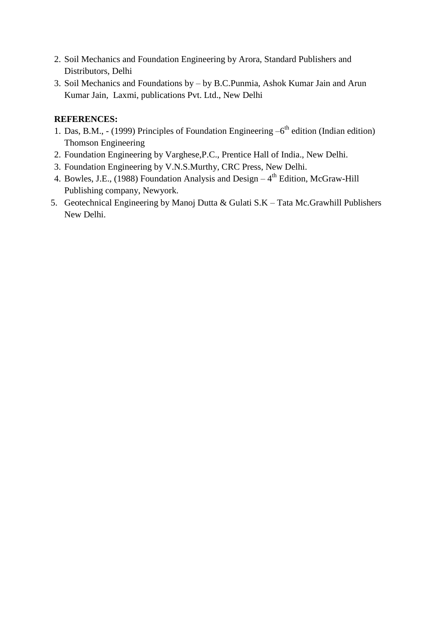- 2. Soil Mechanics and Foundation Engineering by Arora, Standard Publishers and Distributors, Delhi
- 3. Soil Mechanics and Foundations by by B.C.Punmia, Ashok Kumar Jain and Arun Kumar Jain, Laxmi, publications Pvt. Ltd., New Delhi

## **REFERENCES:**

- 1. Das, B.M., (1999) Principles of Foundation Engineering  $-6<sup>th</sup>$  edition (Indian edition) Thomson Engineering
- 2. Foundation Engineering by Varghese,P.C., Prentice Hall of India., New Delhi.
- 3. Foundation Engineering by V.N.S.Murthy, CRC Press, New Delhi.
- 4. Bowles, J.E., (1988) Foundation Analysis and Design  $-4<sup>th</sup>$  Edition, McGraw-Hill Publishing company, Newyork.
- 5. Geotechnical Engineering by Manoj Dutta & Gulati S.K Tata Mc.Grawhill Publishers New Delhi.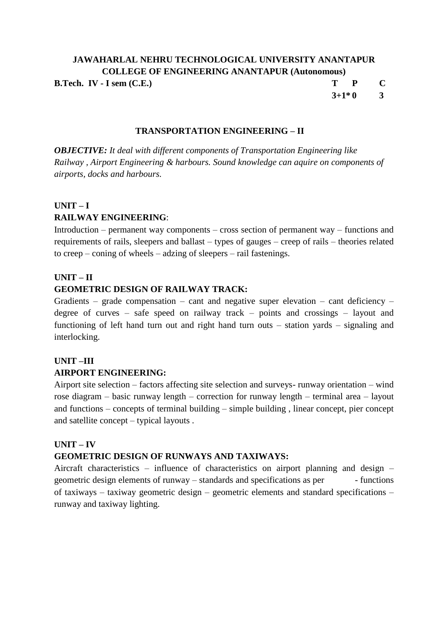# **JAWAHARLAL NEHRU TECHNOLOGICAL UNIVERSITY ANANTAPUR COLLEGE OF ENGINEERING ANANTAPUR (Autonomous) B.Tech. IV - I sem (C.E.) T P C**

 $3+1*0$  3

#### **TRANSPORTATION ENGINEERING – II**

*OBJECTIVE: It deal with different components of Transportation Engineering like Railway , Airport Engineering & harbours. Sound knowledge can aquire on components of airports, docks and harbours.*

#### **UNIT – I**

## **RAILWAY ENGINEERING**:

Introduction – permanent way components – cross section of permanent way – functions and requirements of rails, sleepers and ballast – types of gauges – creep of rails – theories related to creep – coning of wheels – adzing of sleepers – rail fastenings.

## **UNIT – II**

#### **GEOMETRIC DESIGN OF RAILWAY TRACK:**

Gradients – grade compensation – cant and negative super elevation – cant deficiency – degree of curves – safe speed on railway track – points and crossings – layout and functioning of left hand turn out and right hand turn outs – station yards – signaling and interlocking.

## **UNIT –III AIRPORT ENGINEERING:**

Airport site selection – factors affecting site selection and surveys- runway orientation – wind rose diagram – basic runway length – correction for runway length – terminal area – layout and functions – concepts of terminal building – simple building , linear concept, pier concept and satellite concept – typical layouts .

#### **UNIT – IV**

#### **GEOMETRIC DESIGN OF RUNWAYS AND TAXIWAYS:**

Aircraft characteristics – influence of characteristics on airport planning and design – geometric design elements of runway – standards and specifications as per - functions of taxiways – taxiway geometric design – geometric elements and standard specifications – runway and taxiway lighting.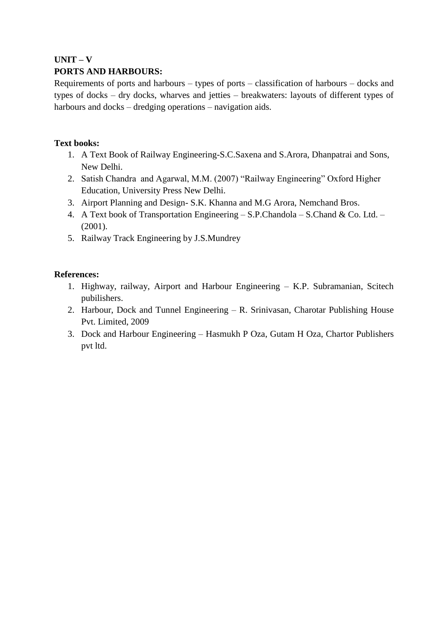# **UNIT – V**

## **PORTS AND HARBOURS:**

Requirements of ports and harbours – types of ports – classification of harbours – docks and types of docks – dry docks, wharves and jetties – breakwaters: layouts of different types of harbours and docks – dredging operations – navigation aids.

## **Text books:**

- 1. A Text Book of Railway Engineering-S.C.Saxena and S.Arora, Dhanpatrai and Sons, New Delhi.
- 2. Satish Chandra and Agarwal, M.M. (2007) "Railway Engineering" Oxford Higher Education, University Press New Delhi.
- 3. Airport Planning and Design- S.K. Khanna and M.G Arora, Nemchand Bros.
- 4. A Text book of Transportation Engineering S.P.Chandola S.Chand & Co. Ltd. (2001).
- 5. Railway Track Engineering by J.S.Mundrey

## **References:**

- 1. Highway, railway, Airport and Harbour Engineering K.P. Subramanian, Scitech pubilishers.
- 2. Harbour, Dock and Tunnel Engineering R. Srinivasan, Charotar Publishing House Pvt. Limited, 2009
- 3. Dock and Harbour Engineering Hasmukh P Oza, Gutam H Oza, Chartor Publishers pvt ltd.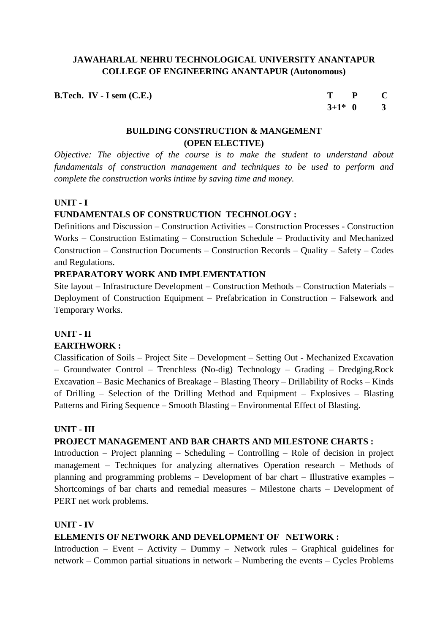**B.Tech. IV - I** sem (C.E.) T **P C** 

**3+1\* 0 3**

## **BUILDING CONSTRUCTION & MANGEMENT (OPEN ELECTIVE)**

*Objective: The objective of the course is to make the student to understand about fundamentals of construction management and techniques to be used to perform and complete the construction works intime by saving time and money.*

## **UNIT - I**

## **FUNDAMENTALS OF CONSTRUCTION TECHNOLOGY :**

Definitions and Discussion – Construction Activities – Construction Processes - Construction Works – Construction Estimating – Construction Schedule – Productivity and Mechanized Construction – Construction Documents – Construction Records – Quality – Safety – Codes and Regulations.

## **PREPARATORY WORK AND IMPLEMENTATION**

Site layout – Infrastructure Development – Construction Methods – Construction Materials – Deployment of Construction Equipment – Prefabrication in Construction – Falsework and Temporary Works.

#### **UNIT - II EARTHWORK :**

Classification of Soils – Project Site – Development – Setting Out - Mechanized Excavation – Groundwater Control – Trenchless (No-dig) Technology – Grading – Dredging.Rock Excavation – Basic Mechanics of Breakage – Blasting Theory – Drillability of Rocks – Kinds of Drilling – Selection of the Drilling Method and Equipment – Explosives – Blasting Patterns and Firing Sequence – Smooth Blasting – Environmental Effect of Blasting.

## **UNIT - III**

## **PROJECT MANAGEMENT AND BAR CHARTS AND MILESTONE CHARTS :**

Introduction – Project planning – Scheduling – Controlling – Role of decision in project management – Techniques for analyzing alternatives Operation research – Methods of planning and programming problems – Development of bar chart – Illustrative examples – Shortcomings of bar charts and remedial measures – Milestone charts – Development of PERT net work problems.

## **UNIT - IV**

## **ELEMENTS OF NETWORK AND DEVELOPMENT OF NETWORK :**

Introduction – Event – Activity – Dummy – Network rules – Graphical guidelines for network – Common partial situations in network – Numbering the events – Cycles Problems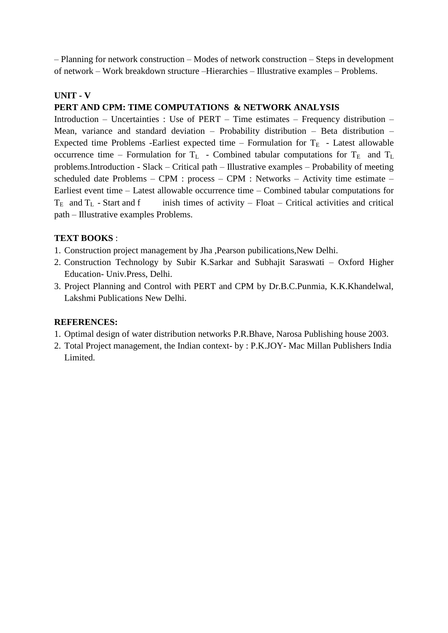– Planning for network construction – Modes of network construction – Steps in development of network – Work breakdown structure –Hierarchies – Illustrative examples – Problems.

## **UNIT - V**

## **PERT AND CPM: TIME COMPUTATIONS & NETWORK ANALYSIS**

Introduction – Uncertainties : Use of PERT – Time estimates – Frequency distribution – Mean, variance and standard deviation – Probability distribution – Beta distribution – Expected time Problems -Earliest expected time – Formulation for  $T_E$  - Latest allowable occurrence time – Formulation for  $T_L$  - Combined tabular computations for  $T_E$  and  $T_L$ problems.Introduction - Slack – Critical path – Illustrative examples – Probability of meeting scheduled date Problems – CPM : process – CPM : Networks – Activity time estimate – Earliest event time – Latest allowable occurrence time – Combined tabular computations for  $T_E$  and  $T_L$  - Start and f inish times of activity – Float – Critical activities and critical path – Illustrative examples Problems.

## **TEXT BOOKS** :

- 1. Construction project management by Jha ,Pearson pubilications,New Delhi.
- 2. Construction Technology by Subir K.Sarkar and Subhajit Saraswati Oxford Higher Education- Univ.Press, Delhi.
- 3. Project Planning and Control with PERT and CPM by Dr.B.C.Punmia, K.K.Khandelwal, Lakshmi Publications New Delhi.

## **REFERENCES:**

- 1. Optimal design of water distribution networks P.R.Bhave, Narosa Publishing house 2003.
- 2. Total Project management, the Indian context- by : P.K.JOY- Mac Millan Publishers India Limited.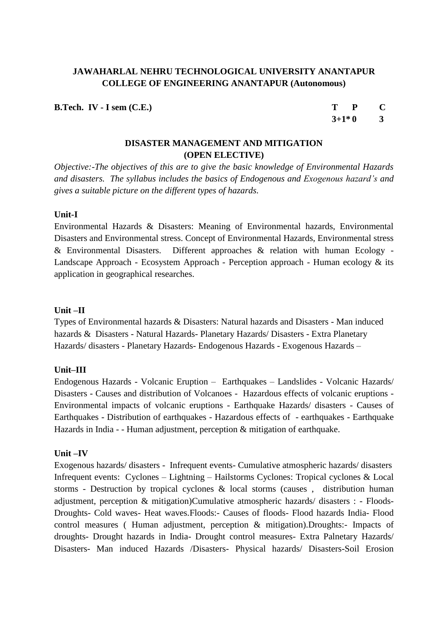**B.Tech. IV - I sem (C.E.) T P C**

 $3+1*0$  3

## **DISASTER MANAGEMENT AND MITIGATION (OPEN ELECTIVE)**

*Objective:-The objectives of this are to give the basic knowledge of Environmental Hazards and disasters. The syllabus includes the basics of Endogenous and Exogenous hazard's and gives a suitable picture on the different types of hazards.*

#### **Unit-I**

Environmental Hazards & Disasters: Meaning of Environmental hazards, Environmental Disasters and Environmental stress. Concept of Environmental Hazards, Environmental stress & Environmental Disasters. Different approaches & relation with human Ecology - Landscape Approach - [Ecosystem](http://www.indiastudychannel.com/resources/55702-Syllabus-DISASTER-MANAGEMENT.aspx) Approach - Perception approach - Human ecology  $\&$  its application in geographical researches.

#### **Unit –II**

Types of Environmental hazards & Disasters: Natural hazards and Disasters - Man induced hazards & Disasters - Natural Hazards- Planetary Hazards/ Disasters - Extra Planetary Hazards/ disasters - Planetary Hazards- Endogenous Hazards - Exogenous Hazards –

## **Unit–III**

Endogenous Hazards - Volcanic Eruption – Earthquakes – Landslides - Volcanic Hazards/ Disasters - Causes and distribution of Volcanoes - Hazardous effects of volcanic eruptions - Environmental impacts of volcanic eruptions - Earthquake Hazards/ disasters - Causes of Earthquakes - Distribution of earthquakes - Hazardous effects of - earthquakes - Earthquake Hazards in India - - Human adjustment, perception & mitigation of earthquake.

#### **Unit –IV**

Exogenous hazards/ disasters - Infrequent events- Cumulative atmospheric hazards/ disasters Infrequent events: Cyclones – Lightning – Hailstorms Cyclones: Tropical cyclones & Local storms - Destruction by tropical cyclones & local storms (causes , distribution human adjustment, perception & mitigation)Cumulative atmospheric hazards/ disasters : - Floods-Droughts- Cold waves- Heat waves.Floods:- Causes of floods- Flood hazards India- Flood control measures ( Human adjustment, perception & mitigation).Droughts:- Impacts of droughts- Drought hazards in India- Drought control measures- Extra Palnetary Hazards/ Disasters- Man induced Hazards /Disasters- Physical hazards/ Disasters-Soil Erosion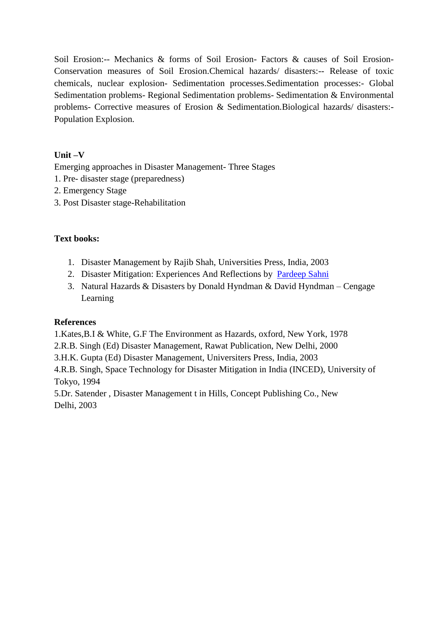Soil Erosion:-- Mechanics & forms of Soil Erosion- Factors & causes of Soil Erosion-Conservation measures of Soil Erosion.Chemical hazards/ disasters:-- Release of toxic chemicals, nuclear explosion- Sedimentation processes.Sedimentation processes:- Global Sedimentation problems- Regional Sedimentation problems- Sedimentation & Environmental problems- Corrective measures of Erosion & Sedimentation.Biological hazards/ disasters:- Population Explosion.

## **Unit –V**

Emerging approaches in Disaster Management- Three Stages

- 1. Pre- disaster stage (preparedness)
- 2. Emergency Stage
- 3. Post Disaster stage-Rehabilitation

## **Text books:**

- 1. Disaster Management by Rajib Shah, Universities Press, India, 2003
- 2. Disaster Mitigation: Experiences And Reflections by [Pardeep Sahni](http://www.flipkart.com/author/pardeep-sahni/)
- 3. Natural Hazards & Disasters by Donald Hyndman & David Hyndman Cengage Learning

## **References**

1.Kates,B.I & White, G.F The Environment as Hazards, oxford, New York, 1978

2.R.B. Singh (Ed) Disaster Management, Rawat Publication, New Delhi, 2000

3.H.K. Gupta (Ed) Disaster Management, Universiters Press, India, 2003

4.R.B. Singh, [Space Technology](http://www.indiastudychannel.com/resources/55702-Syllabus-DISASTER-MANAGEMENT.aspx) for Disaster Mitigation in India (INCED), University of Tokyo, 1994

5.Dr. Satender , Disaster Management t in Hills, Concept Publishing Co., New Delhi, 2003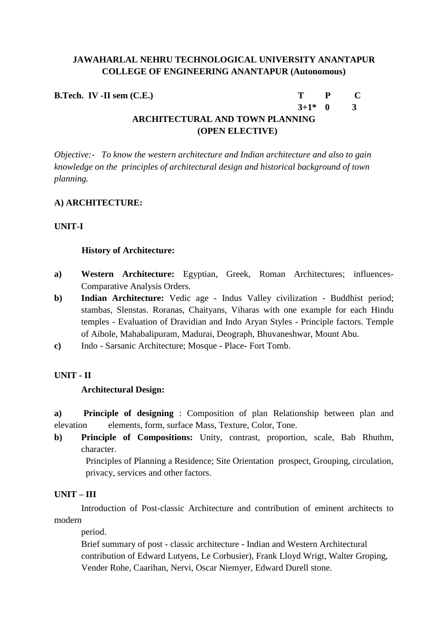**B.Tech. IV -II sem (C.E.) T P C**

**3+1\* 0 3**

# **ARCHITECTURAL AND TOWN PLANNING (OPEN ELECTIVE)**

*Objective:- To know the western architecture and Indian architecture and also to gain knowledge on the principles of architectural design and historical background of town planning.*

## **A) ARCHITECTURE:**

## **UNIT-I**

## **History of Architecture:**

- **a) Western Architecture:** Egyptian, Greek, Roman Architectures; influences-Comparative Analysis Orders.
- **b) Indian Architecture:** Vedic age Indus Valley civilization Buddhist period; stambas, Slenstas. Roranas, Chaityans, Viharas with one example for each Hindu temples - Evaluation of Dravidian and Indo Aryan Styles - Principle factors. Temple of Aibole, Mahabalipuram, Madurai, Deograph, Bhuvaneshwar, Mount Abu.
- **c)** Indo Sarsanic Architecture; Mosque Place- Fort Tomb.

## **UNIT - II**

## **Architectural Design:**

**a) Principle of designing** : Composition of plan Relationship between plan and elevation elements, form, surface Mass, Texture, Color, Tone.

**b) Principle of Compositions:** Unity, contrast, proportion, scale, Bab Rhuthm, character.

 Principles of Planning a Residence; Site Orientation prospect, Grouping, circulation, privacy, services and other factors.

## **UNIT – III**

 Introduction of Post-classic Architecture and contribution of eminent architects to modern

period.

Brief summary of post - classic architecture - Indian and Western Architectural contribution of Edward Lutyens, Le Corbusier), Frank Lloyd Wrigt, Walter Groping, Vender Rohe, Caarihan, Nervi, Oscar Niemyer, Edward Durell stone.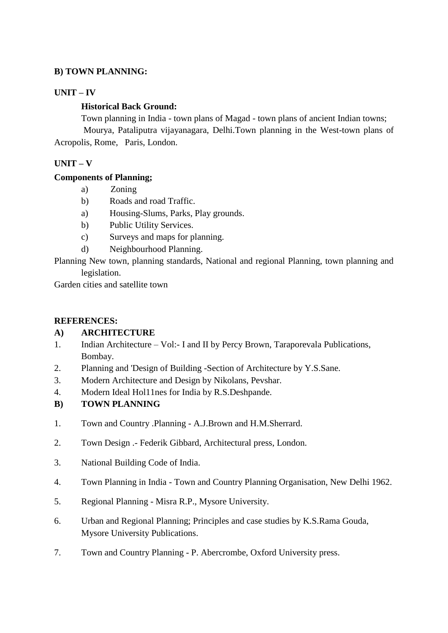## **B) TOWN PLANNING:**

## **UNIT – IV**

#### **Historical Back Ground:**

 Town planning in India - town plans of Magad - town plans of ancient Indian towns; Mourya, Pataliputra vijayanagara, Delhi.Town planning in the West-town plans of Acropolis, Rome, Paris, London.

## **UNIT – V**

#### **Components of Planning;**

- a) Zoning
- b) Roads and road Traffic.
- a) Housing-Slums, Parks, Play grounds.
- b) Public Utility Services.
- c) Surveys and maps for planning.
- d) Neighbourhood Planning.

Planning New town, planning standards, National and regional Planning, town planning and legislation.

Garden cities and satellite town

#### **REFERENCES:**

## **A) ARCHITECTURE**

- 1. Indian Architecture Vol:- I and II by Percy Brown, Taraporevala Publications, Bombay.
- 2. Planning and 'Design of Building -Section of Architecture by Y.S.Sane.
- 3. Modern Architecture and Design by Nikolans, Pevshar.
- 4. Modern Ideal Hol11nes for India by R.S.Deshpande.
- **B) TOWN PLANNING**
- 1. Town and Country .Planning A.J.Brown and H.M.Sherrard.
- 2. Town Design .- Federik Gibbard, Architectural press, London.
- 3. National Building Code of India.
- 4. Town Planning in India Town and Country Planning Organisation, New Delhi 1962.
- 5. Regional Planning Misra R.P., Mysore University.
- 6. Urban and Regional Planning; Principles and case studies by K.S.Rama Gouda, Mysore University Publications.
- 7. Town and Country Planning P. Abercrombe, Oxford University press.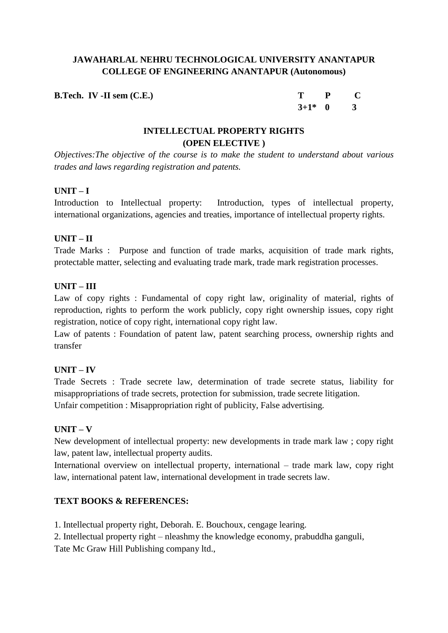**B.Tech. IV -II sem (C.E.)** 

| т         | P | C |
|-----------|---|---|
| $3+1^*$ 0 |   | 3 |

## **INTELLECTUAL PROPERTY RIGHTS (OPEN ELECTIVE )**

*Objectives:The objective of the course is to make the student to understand about various trades and laws regarding registration and patents.*

## **UNIT – I**

Introduction to Intellectual property: Introduction, types of intellectual property, international organizations, agencies and treaties, importance of intellectual property rights.

## **UNIT – II**

Trade Marks : Purpose and function of trade marks, acquisition of trade mark rights, protectable matter, selecting and evaluating trade mark, trade mark registration processes.

## **UNIT – III**

Law of copy rights : Fundamental of copy right law, originality of material, rights of reproduction, rights to perform the work publicly, copy right ownership issues, copy right registration, notice of copy right, international copy right law.

Law of patents : Foundation of patent law, patent searching process, ownership rights and transfer

## **UNIT – IV**

Trade Secrets : Trade secrete law, determination of trade secrete status, liability for misappropriations of trade secrets, protection for submission, trade secrete litigation. Unfair competition : Misappropriation right of publicity, False advertising.

## **UNIT – V**

New development of intellectual property: new developments in trade mark law ; copy right law, patent law, intellectual property audits.

International overview on intellectual property, international – trade mark law, copy right law, international patent law, international development in trade secrets law.

## **TEXT BOOKS & REFERENCES:**

1. Intellectual property right, Deborah. E. Bouchoux, cengage learing.

2. Intellectual property right – nleashmy the knowledge economy, prabuddha ganguli,

Tate Mc Graw Hill Publishing company ltd.,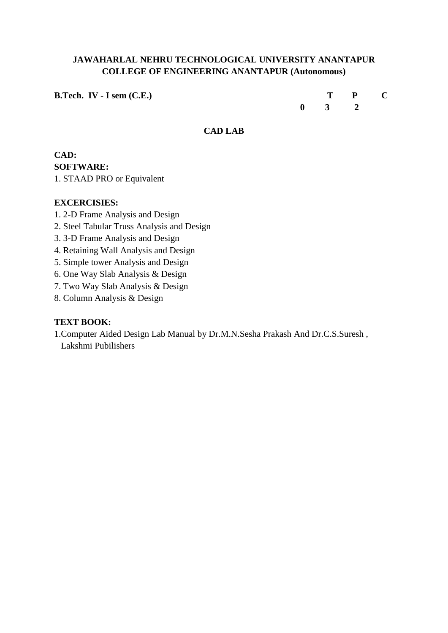**B.Tech. IV - I** sem (C.E.) T **P C** 

**0 3 2**

## **CAD LAB**

## **CAD: SOFTWARE:**

1. STAAD PRO or Equivalent

## **EXCERCISIES:**

- 1. 2-D Frame Analysis and Design
- 2. Steel Tabular Truss Analysis and Design
- 3. 3-D Frame Analysis and Design
- 4. Retaining Wall Analysis and Design
- 5. Simple tower Analysis and Design
- 6. One Way Slab Analysis & Design
- 7. Two Way Slab Analysis & Design
- 8. Column Analysis & Design

## **TEXT BOOK:**

1.Computer Aided Design Lab Manual by Dr.M.N.Sesha Prakash And Dr.C.S.Suresh , Lakshmi Pubilishers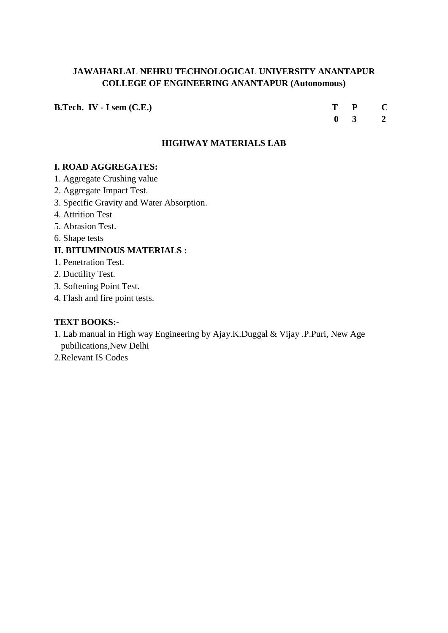**B.Tech. IV - I sem (C.E.) T P C**

 **0 3 2**

#### **HIGHWAY MATERIALS LAB**

## **I. ROAD AGGREGATES:**

- 1. Aggregate Crushing value
- 2. Aggregate Impact Test.
- 3. Specific Gravity and Water Absorption.
- 4. Attrition Test
- 5. Abrasion Test.
- 6. Shape tests

#### **II. BITUMINOUS MATERIALS :**

- 1. Penetration Test.
- 2. Ductility Test.
- 3. Softening Point Test.
- 4. Flash and fire point tests.

#### **TEXT BOOKS:-**

- 1. Lab manual in High way Engineering by Ajay.K.Duggal & Vijay .P.Puri, New Age pubilications,New Delhi
- 2.Relevant IS Codes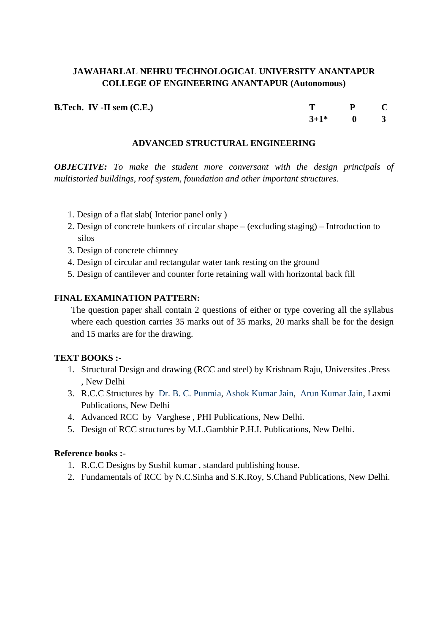**B.Tech. IV -II sem (C.E.)** T P C

 $3+1^*$  0 3

#### **ADVANCED STRUCTURAL ENGINEERING**

*OBJECTIVE: To make the student more conversant with the design principals of multistoried buildings, roof system, foundation and other important structures.*

- 1. Design of a flat slab( Interior panel only )
- 2. Design of concrete bunkers of circular shape (excluding staging) Introduction to silos
- 3. Design of concrete chimney
- 4. Design of circular and rectangular water tank resting on the ground
- 5. Design of cantilever and counter forte retaining wall with horizontal back fill

#### **FINAL EXAMINATION PATTERN:**

The question paper shall contain 2 questions of either or type covering all the syllabus where each question carries 35 marks out of 35 marks, 20 marks shall be for the design and 15 marks are for the drawing.

#### **TEXT BOOKS :-**

- 1. Structural Design and drawing (RCC and steel) by Krishnam Raju, Universites .Press , New Delhi
- 3. R.C.C Structures by [Dr. B. C. Punmia,](http://www.laxmipublications.com/servlet/lpdispinfo?offset=0&searchtype=Author&text1=Dr.%20B.%20C.%20Punmia) [Ashok Kumar Jain,](http://www.laxmipublications.com/servlet/lpdispinfo?offset=0&searchtype=Author&text1=Ashok%20Kr.%20Jain) [Arun Kumar Jain,](http://www.laxmipublications.com/servlet/lpdispinfo?offset=0&searchtype=Author&text1=Arun%20Kr.%20Jain) Laxmi Publications, New Delhi
- 4. Advanced RCC by Varghese , PHI Publications, New Delhi.
- 5. Design of RCC structures by M.L.Gambhir P.H.I. Publications, New Delhi.

#### **Reference books :-**

- 1. R.C.C Designs by Sushil kumar , standard publishing house.
- 2. Fundamentals of RCC by N.C.Sinha and S.K.Roy, S.Chand Publications, New Delhi.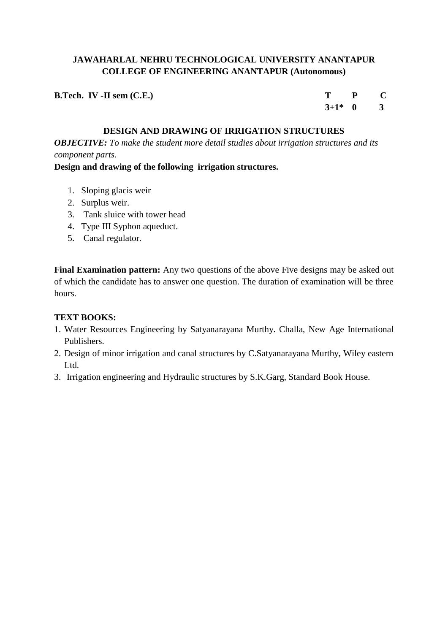| <b>B.Tech.</b> IV -II sem $(C.E.)$ | $T$ $P$ $C$ |  |
|------------------------------------|-------------|--|
|                                    | $3+1^*$ 0 3 |  |

## **DESIGN AND DRAWING OF IRRIGATION STRUCTURES**

*OBJECTIVE: To make the student more detail studies about irrigation structures and its component parts.*

#### **Design and drawing of the following irrigation structures.**

- 1. Sloping glacis weir
- 2. Surplus weir.
- 3. Tank sluice with tower head
- 4. Type III Syphon aqueduct.
- 5. Canal regulator.

**Final Examination pattern:** Any two questions of the above Five designs may be asked out of which the candidate has to answer one question. The duration of examination will be three hours.

#### **TEXT BOOKS:**

- 1. Water Resources Engineering by Satyanarayana Murthy. Challa, New Age International Publishers.
- 2. Design of minor irrigation and canal structures by C.Satyanarayana Murthy, Wiley eastern Ltd.
- 3. Irrigation engineering and Hydraulic structures by S.K.Garg, Standard Book House.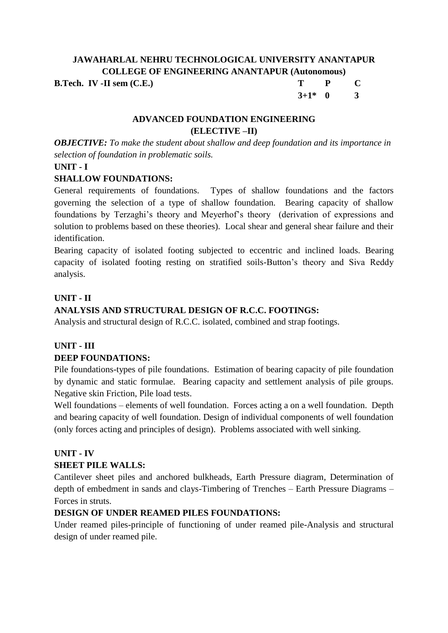**B.Tech. IV -II sem (C.E.)** 

| Т        | P | $\mathbf C$ |
|----------|---|-------------|
| $3+1*$ 0 |   | 3           |

## **ADVANCED FOUNDATION ENGINEERING (ELECTIVE –II)**

*OBJECTIVE: To make the student about shallow and deep foundation and its importance in selection of foundation in problematic soils.*

## **UNIT - I**

## **SHALLOW FOUNDATIONS:**

General requirements of foundations. Types of shallow foundations and the factors governing the selection of a type of shallow foundation. Bearing capacity of shallow foundations by Terzaghi's theory and Meyerhof's theory (derivation of expressions and solution to problems based on these theories). Local shear and general shear failure and their identification.

Bearing capacity of isolated footing subjected to eccentric and inclined loads. Bearing capacity of isolated footing resting on stratified soils-Button's theory and Siva Reddy analysis.

## **UNIT - II**

# **ANALYSIS AND STRUCTURAL DESIGN OF R.C.C. FOOTINGS:**

Analysis and structural design of R.C.C. isolated, combined and strap footings.

## **UNIT - III DEEP FOUNDATIONS:**

Pile foundations-types of pile foundations. Estimation of bearing capacity of pile foundation by dynamic and static formulae. Bearing capacity and settlement analysis of pile groups. Negative skin Friction, Pile load tests.

Well foundations – elements of well foundation. Forces acting a on a well foundation. Depth and bearing capacity of well foundation. Design of individual components of well foundation (only forces acting and principles of design). Problems associated with well sinking.

## **UNIT - IV**

## **SHEET PILE WALLS:**

Cantilever sheet piles and anchored bulkheads, Earth Pressure diagram, Determination of depth of embedment in sands and clays-Timbering of Trenches – Earth Pressure Diagrams – Forces in struts.

# **DESIGN OF UNDER REAMED PILES FOUNDATIONS:**

Under reamed piles-principle of functioning of under reamed pile-Analysis and structural design of under reamed pile.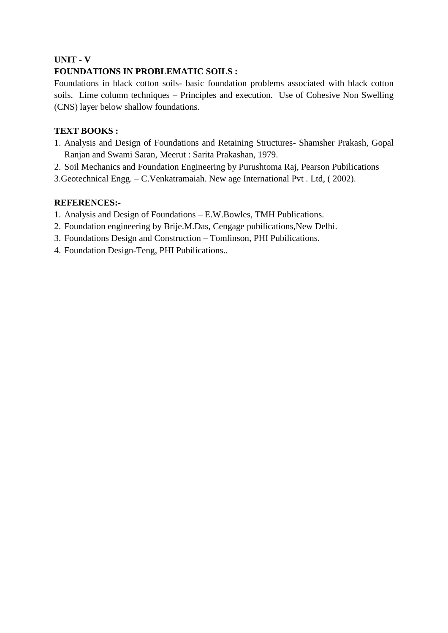## **UNIT - V**

## **FOUNDATIONS IN PROBLEMATIC SOILS :**

Foundations in black cotton soils- basic foundation problems associated with black cotton soils. Lime column techniques – Principles and execution. Use of Cohesive Non Swelling (CNS) layer below shallow foundations.

## **TEXT BOOKS :**

- 1. Analysis and Design of Foundations and Retaining Structures- Shamsher Prakash, Gopal Ranjan and Swami Saran, Meerut : Sarita Prakashan, 1979.
- 2. Soil Mechanics and Foundation Engineering by Purushtoma Raj, Pearson Pubilications
- 3.Geotechnical Engg. C.Venkatramaiah. New age International Pvt . Ltd, ( 2002).

#### **REFERENCES:-**

- 1. Analysis and Design of Foundations E.W.Bowles, TMH Publications.
- 2. Foundation engineering by Brije.M.Das, Cengage pubilications,New Delhi.
- 3. Foundations Design and Construction Tomlinson, PHI Pubilications.
- 4. Foundation Design-Teng, PHI Pubilications..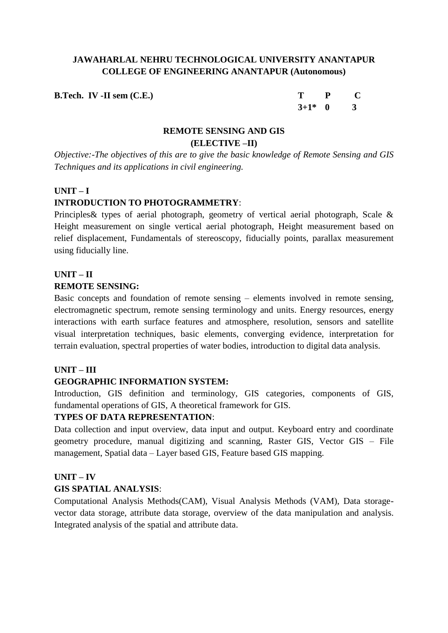**B.Tech. IV -II sem (C.E.)** 

| т        | P | C |
|----------|---|---|
| $3+1*$ 0 |   | 3 |

## **REMOTE SENSING AND GIS (ELECTIVE –II)**

*Objective:-The objectives of this are to give the basic knowledge of Remote Sensing and GIS Techniques and its applications in civil engineering.*

#### **UNIT – I**

## **INTRODUCTION TO PHOTOGRAMMETRY**:

Principles& types of aerial photograph, geometry of vertical aerial photograph, Scale & Height measurement on single vertical aerial photograph, Height measurement based on relief displacement, Fundamentals of stereoscopy, fiducially points, parallax measurement using fiducially line.

## **UNIT – II REMOTE SENSING:**

Basic concepts and foundation of remote sensing – elements involved in remote sensing, electromagnetic spectrum, remote sensing terminology and units. Energy resources, energy interactions with earth surface features and atmosphere, resolution, sensors and satellite visual interpretation techniques, basic elements, converging evidence, interpretation for terrain evaluation, spectral properties of water bodies, introduction to digital data analysis.

## **UNIT – III**

## **GEOGRAPHIC INFORMATION SYSTEM:**

Introduction, GIS definition and terminology, GIS categories, components of GIS, fundamental operations of GIS, A theoretical framework for GIS.

## **TYPES OF DATA REPRESENTATION**:

Data collection and input overview, data input and output. Keyboard entry and coordinate geometry procedure, manual digitizing and scanning, Raster GIS, Vector GIS – File management, Spatial data – Layer based GIS, Feature based GIS mapping.

## **UNIT – IV**

## **GIS SPATIAL ANALYSIS**:

Computational Analysis Methods(CAM), Visual Analysis Methods (VAM), Data storagevector data storage, attribute data storage, overview of the data manipulation and analysis. Integrated analysis of the spatial and attribute data.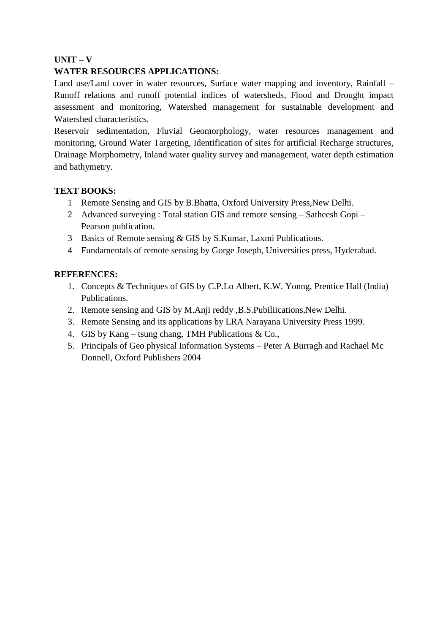## **UNIT – V**

## **WATER RESOURCES APPLICATIONS:**

Land use/Land cover in water resources, Surface water mapping and inventory, Rainfall – Runoff relations and runoff potential indices of watersheds, Flood and Drought impact assessment and monitoring, Watershed management for sustainable development and Watershed characteristics.

Reservoir sedimentation, Fluvial Geomorphology, water resources management and monitoring, Ground Water Targeting, Identification of sites for artificial Recharge structures, Drainage Morphometry, Inland water quality survey and management, water depth estimation and bathymetry.

#### **TEXT BOOKS:**

- 1 Remote Sensing and GIS by B.Bhatta, Oxford University Press,New Delhi.
- 2 Advanced surveying : Total station GIS and remote sensing Satheesh Gopi Pearson publication.
- 3 Basics of Remote sensing & GIS by S.Kumar, Laxmi Publications.
- 4 Fundamentals of remote sensing by Gorge Joseph, Universities press, Hyderabad.

#### **REFERENCES:**

- 1. Concepts & Techniques of GIS by C.P.Lo Albert, K.W. Yonng, Prentice Hall (India) Publications.
- 2. Remote sensing and GIS by M.Anji reddy ,B.S.Pubiliications,New Delhi.
- 3. Remote Sensing and its applications by LRA Narayana University Press 1999.
- 4. GIS by Kang tsung chang, TMH Publications  $& Co.,$
- 5. Principals of Geo physical Information Systems Peter A Burragh and Rachael Mc Donnell, Oxford Publishers 2004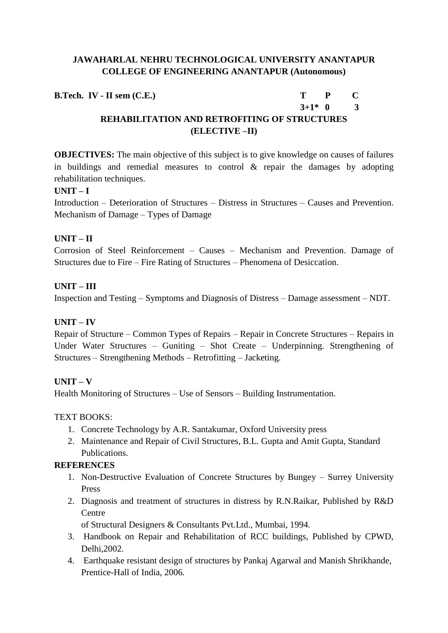**B.Tech. IV - II sem (C.E.) T P C**

 $3+1*0$  3

# **REHABILITATION AND RETROFITING OF STRUCTURES (ELECTIVE –II)**

**OBJECTIVES:** The main objective of this subject is to give knowledge on causes of failures in buildings and remedial measures to control & repair the damages by adopting rehabilitation techniques.

## **UNIT – I**

Introduction – Deterioration of Structures – Distress in Structures – Causes and Prevention. Mechanism of Damage – Types of Damage

## **UNIT – II**

Corrosion of Steel Reinforcement – Causes – Mechanism and Prevention. Damage of Structures due to Fire – Fire Rating of Structures – Phenomena of Desiccation.

## **UNIT – III**

Inspection and Testing – Symptoms and Diagnosis of Distress – Damage assessment – NDT.

## **UNIT – IV**

Repair of Structure – Common Types of Repairs – Repair in Concrete Structures – Repairs in Under Water Structures – Guniting – Shot Create – Underpinning. Strengthening of Structures – Strengthening Methods – Retrofitting – Jacketing.

## **UNIT – V**

Health Monitoring of Structures – Use of Sensors – Building Instrumentation.

## TEXT BOOKS:

- 1. Concrete Technology by A.R. Santakumar, Oxford University press
- 2. Maintenance and Repair of Civil Structures, B.L. Gupta and Amit Gupta, Standard Publications.

## **REFERENCES**

- 1. Non-Destructive Evaluation of Concrete Structures by Bungey Surrey University Press
- 2. Diagnosis and treatment of structures in distress by R.N.Raikar, Published by R&D **Centre**

of Structural Designers & Consultants Pvt.Ltd., Mumbai, 1994.

- 3. Handbook on Repair and Rehabilitation of RCC buildings, Published by CPWD, Delhi,2002.
- 4. Earthquake resistant design of structures by Pankaj Agarwal and Manish Shrikhande, Prentice-Hall of India, 2006.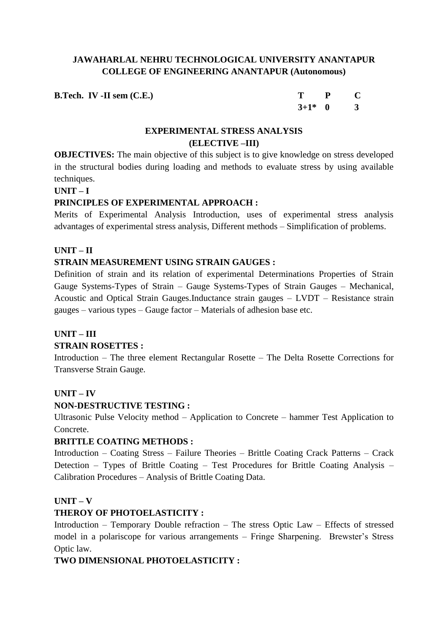**B.Tech. IV** -**II** sem (C.E.)

| т        | P | $\mathbf{\Gamma}$ |
|----------|---|-------------------|
| $3+1*$ 0 |   | 3                 |

## **EXPERIMENTAL STRESS ANALYSIS (ELECTIVE –III)**

**OBJECTIVES:** The main objective of this subject is to give knowledge on stress developed in the structural bodies during loading and methods to evaluate stress by using available techniques.

#### **UNIT – I**

## **PRINCIPLES OF EXPERIMENTAL APPROACH :**

Merits of Experimental Analysis Introduction, uses of experimental stress analysis advantages of experimental stress analysis, Different methods – Simplification of problems.

## **UNIT – II**

## **STRAIN MEASUREMENT USING STRAIN GAUGES :**

Definition of strain and its relation of experimental Determinations Properties of Strain Gauge Systems-Types of Strain – Gauge Systems-Types of Strain Gauges – Mechanical, Acoustic and Optical Strain Gauges.Inductance strain gauges – LVDT – Resistance strain gauges – various types – Gauge factor – Materials of adhesion base etc.

## **UNIT – III**

## **STRAIN ROSETTES :**

Introduction – The three element Rectangular Rosette – The Delta Rosette Corrections for Transverse Strain Gauge.

## **UNIT – IV**

## **NON-DESTRUCTIVE TESTING :**

Ultrasonic Pulse Velocity method – Application to Concrete – hammer Test Application to Concrete.

## **BRITTLE COATING METHODS :**

Introduction – Coating Stress – Failure Theories – Brittle Coating Crack Patterns – Crack Detection – Types of Brittle Coating – Test Procedures for Brittle Coating Analysis – Calibration Procedures – Analysis of Brittle Coating Data.

## **UNIT – V**

## **THEROY OF PHOTOELASTICITY :**

Introduction – Temporary Double refraction – The stress Optic Law – Effects of stressed model in a polariscope for various arrangements – Fringe Sharpening. Brewster's Stress Optic law.

## **TWO DIMENSIONAL PHOTOELASTICITY :**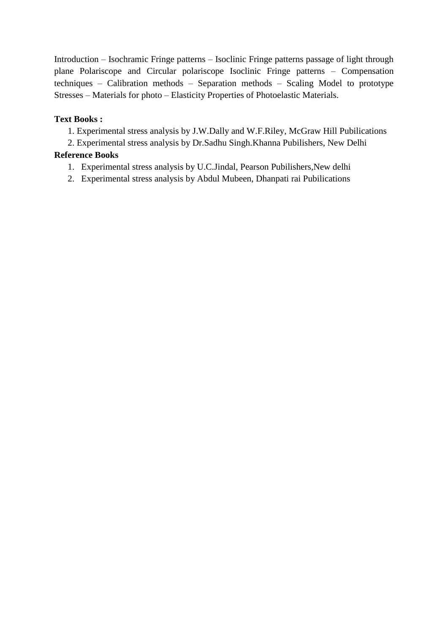Introduction – Isochramic Fringe patterns – Isoclinic Fringe patterns passage of light through plane Polariscope and Circular polariscope Isoclinic Fringe patterns – Compensation techniques – Calibration methods – Separation methods – Scaling Model to prototype Stresses – Materials for photo – Elasticity Properties of Photoelastic Materials.

## **Text Books :**

- 1. Experimental stress analysis by J.W.Dally and W.F.Riley, McGraw Hill Pubilications
- 2. Experimental stress analysis by Dr.Sadhu Singh.Khanna Pubilishers, New Delhi

## **Reference Books**

- 1. Experimental stress analysis by U.C.Jindal, Pearson Pubilishers,New delhi
- 2. Experimental stress analysis by Abdul Mubeen, Dhanpati rai Pubilications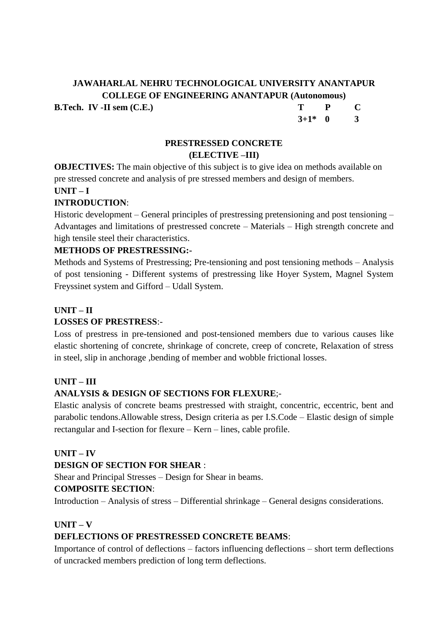**B.Tech. IV -II sem (C.E.) T P C 3+1\* 0 3**

## **PRESTRESSED CONCRETE (ELECTIVE –III)**

**OBJECTIVES:** The main objective of this subject is to give idea on methods available on pre stressed concrete and analysis of pre stressed members and design of members.

**UNIT – I**

## **INTRODUCTION**:

Historic development – General principles of prestressing pretensioning and post tensioning – Advantages and limitations of prestressed concrete – Materials – High strength concrete and high tensile steel their characteristics.

## **METHODS OF PRESTRESSING:-**

Methods and Systems of Prestressing; Pre-tensioning and post tensioning methods – Analysis of post tensioning - Different systems of prestressing like Hoyer System, Magnel System Freyssinet system and Gifford – Udall System.

## **UNIT – II**

## **LOSSES OF PRESTRESS**:-

Loss of prestress in pre-tensioned and post-tensioned members due to various causes like elastic shortening of concrete, shrinkage of concrete, creep of concrete, Relaxation of stress in steel, slip in anchorage ,bending of member and wobble frictional losses.

## **UNIT – III**

## **ANALYSIS & DESIGN OF SECTIONS FOR FLEXURE**;-

Elastic analysis of concrete beams prestressed with straight, concentric, eccentric, bent and parabolic tendons.Allowable stress, Design criteria as per I.S.Code – Elastic design of simple rectangular and I-section for flexure – Kern – lines, cable profile.

## **UNIT – IV**

## **DESIGN OF SECTION FOR SHEAR** :

Shear and Principal Stresses – Design for Shear in beams.

## **COMPOSITE SECTION**:

Introduction – Analysis of stress – Differential shrinkage – General designs considerations.

## **UNIT – V**

## **DEFLECTIONS OF PRESTRESSED CONCRETE BEAMS**:

Importance of control of deflections – factors influencing deflections – short term deflections of uncracked members prediction of long term deflections.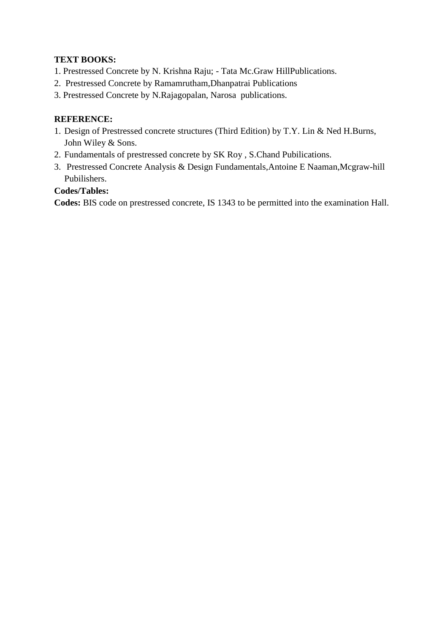## **TEXT BOOKS:**

- 1. Prestressed Concrete by N. Krishna Raju; Tata Mc.Graw HillPublications.
- 2. Prestressed Concrete by Ramamrutham,Dhanpatrai Publications
- 3. Prestressed Concrete by N.Rajagopalan, Narosa publications.

## **REFERENCE:**

- 1. Design of Prestressed concrete structures (Third Edition) by T.Y. Lin & Ned H.Burns, John Wiley & Sons.
- 2. Fundamentals of prestressed concrete by SK Roy , S.Chand Pubilications.
- 3. [Prestressed Concrete Analysis & Design Fundamentals](https://sapnaonline.com/prestressed-concrete-analysis-design-fundamentals-antoine-e-naaman-mcgraw-hill-book-company-koga-9789332901469-11877296)[,Antoine E Naaman,](https://sapnaonline.com/shop/Author/antoine-e-naaman)Mcgraw-hill Pubilishers.

## **Codes/Tables:**

**Codes:** BIS code on prestressed concrete, IS 1343 to be permitted into the examination Hall.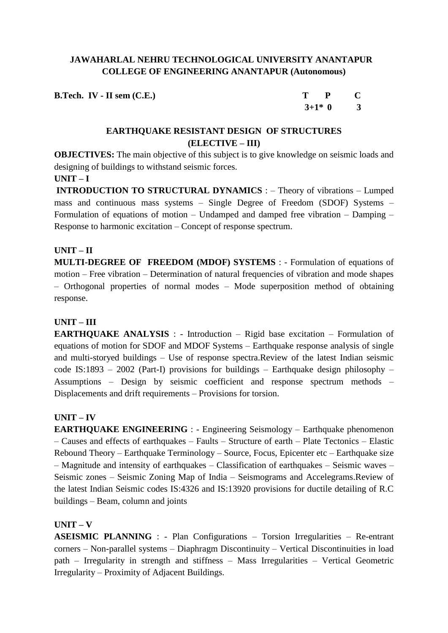| <b>B.Tech.</b> IV - II sem $(C.E.)$ | $T$ $P$ $C$ |  |
|-------------------------------------|-------------|--|
|                                     | $3+1*0$ 3   |  |

## **EARTHQUAKE RESISTANT DESIGN OF STRUCTURES (ELECTIVE – III)**

**OBJECTIVES:** The main objective of this subject is to give knowledge on seismic loads and designing of buildings to withstand seismic forces.

## **UNIT – I**

**INTRODUCTION TO STRUCTURAL DYNAMICS** : – Theory of vibrations – Lumped mass and continuous mass systems – Single Degree of Freedom (SDOF) Systems – Formulation of equations of motion – Undamped and damped free vibration – Damping – Response to harmonic excitation – Concept of response spectrum.

## **UNIT – II**

**MULTI-DEGREE OF FREEDOM (MDOF) SYSTEMS** : - Formulation of equations of motion – Free vibration – Determination of natural frequencies of vibration and mode shapes – Orthogonal properties of normal modes – Mode superposition method of obtaining response.

## **UNIT – III**

**EARTHOUAKE ANALYSIS** : - Introduction – Rigid base excitation – Formulation of equations of motion for SDOF and MDOF Systems – Earthquake response analysis of single and multi-storyed buildings – Use of response spectra.Review of the latest Indian seismic code IS:1893 – 2002 (Part-I) provisions for buildings – Earthquake design philosophy – Assumptions – Design by seismic coefficient and response spectrum methods – Displacements and drift requirements – Provisions for torsion.

## **UNIT – IV**

**EARTHQUAKE ENGINEERING** : - Engineering Seismology – Earthquake phenomenon – Causes and effects of earthquakes – Faults – Structure of earth – Plate Tectonics – Elastic Rebound Theory – Earthquake Terminology – Source, Focus, Epicenter etc – Earthquake size – Magnitude and intensity of earthquakes – Classification of earthquakes – Seismic waves – Seismic zones – Seismic Zoning Map of India – Seismograms and Accelegrams.Review of the latest Indian Seismic codes IS:4326 and IS:13920 provisions for ductile detailing of R.C buildings – Beam, column and joints

## **UNIT – V**

**ASEISMIC PLANNING** : - Plan Configurations – Torsion Irregularities – Re-entrant corners – Non-parallel systems – Diaphragm Discontinuity – Vertical Discontinuities in load path – Irregularity in strength and stiffness – Mass Irregularities – Vertical Geometric Irregularity – Proximity of Adjacent Buildings.